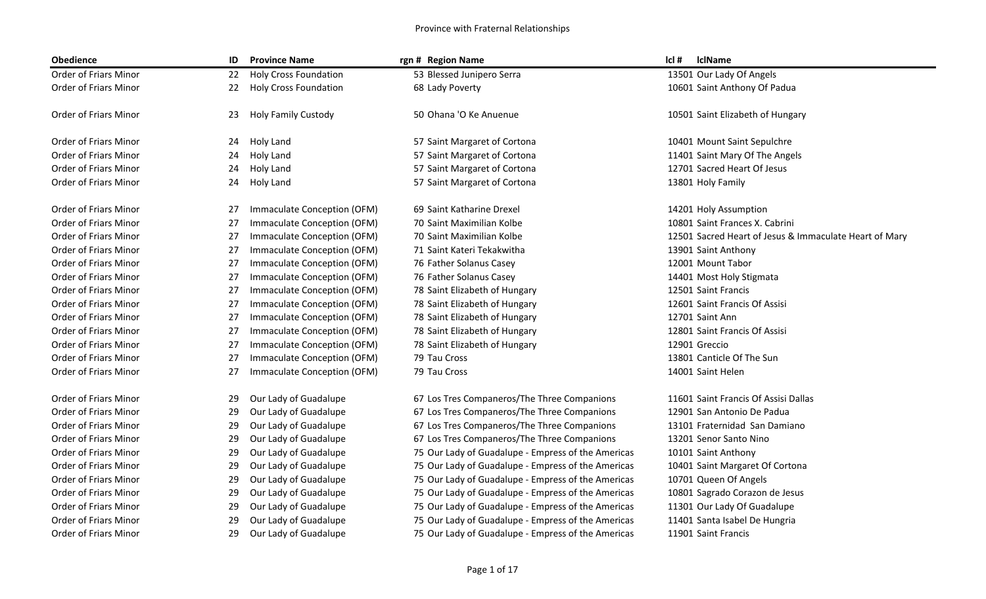| <b>Obedience</b>             | ID | <b>Province Name</b>         | rgn # Region Name                                  | cl#<br><b>IclName</b>                                  |
|------------------------------|----|------------------------------|----------------------------------------------------|--------------------------------------------------------|
| Order of Friars Minor        | 22 | <b>Holy Cross Foundation</b> | 53 Blessed Junipero Serra                          | 13501 Our Lady Of Angels                               |
| Order of Friars Minor        | 22 | <b>Holy Cross Foundation</b> | 68 Lady Poverty                                    | 10601 Saint Anthony Of Padua                           |
| Order of Friars Minor        | 23 | <b>Holy Family Custody</b>   | 50 Ohana 'O Ke Anuenue                             | 10501 Saint Elizabeth of Hungary                       |
| Order of Friars Minor        | 24 | Holy Land                    | 57 Saint Margaret of Cortona                       | 10401 Mount Saint Sepulchre                            |
| Order of Friars Minor        | 24 | Holy Land                    | 57 Saint Margaret of Cortona                       | 11401 Saint Mary Of The Angels                         |
| Order of Friars Minor        | 24 | Holy Land                    | 57 Saint Margaret of Cortona                       | 12701 Sacred Heart Of Jesus                            |
| Order of Friars Minor        | 24 | Holy Land                    | 57 Saint Margaret of Cortona                       | 13801 Holy Family                                      |
| Order of Friars Minor        | 27 | Immaculate Conception (OFM)  | 69 Saint Katharine Drexel                          | 14201 Holy Assumption                                  |
| Order of Friars Minor        | 27 | Immaculate Conception (OFM)  | 70 Saint Maximilian Kolbe                          | 10801 Saint Frances X. Cabrini                         |
| Order of Friars Minor        | 27 | Immaculate Conception (OFM)  | 70 Saint Maximilian Kolbe                          | 12501 Sacred Heart of Jesus & Immaculate Heart of Mary |
| Order of Friars Minor        | 27 | Immaculate Conception (OFM)  | 71 Saint Kateri Tekakwitha                         | 13901 Saint Anthony                                    |
| Order of Friars Minor        | 27 | Immaculate Conception (OFM)  | 76 Father Solanus Casey                            | 12001 Mount Tabor                                      |
| Order of Friars Minor        | 27 | Immaculate Conception (OFM)  | 76 Father Solanus Casey                            | 14401 Most Holy Stigmata                               |
| Order of Friars Minor        | 27 | Immaculate Conception (OFM)  | 78 Saint Elizabeth of Hungary                      | 12501 Saint Francis                                    |
| Order of Friars Minor        | 27 | Immaculate Conception (OFM)  | 78 Saint Elizabeth of Hungary                      | 12601 Saint Francis Of Assisi                          |
| Order of Friars Minor        | 27 | Immaculate Conception (OFM)  | 78 Saint Elizabeth of Hungary                      | 12701 Saint Ann                                        |
| <b>Order of Friars Minor</b> | 27 | Immaculate Conception (OFM)  | 78 Saint Elizabeth of Hungary                      | 12801 Saint Francis Of Assisi                          |
| Order of Friars Minor        | 27 | Immaculate Conception (OFM)  | 78 Saint Elizabeth of Hungary                      | 12901 Greccio                                          |
| Order of Friars Minor        | 27 | Immaculate Conception (OFM)  | 79 Tau Cross                                       | 13801 Canticle Of The Sun                              |
| Order of Friars Minor        | 27 | Immaculate Conception (OFM)  | 79 Tau Cross                                       | 14001 Saint Helen                                      |
| Order of Friars Minor        | 29 | Our Lady of Guadalupe        | 67 Los Tres Companeros/The Three Companions        | 11601 Saint Francis Of Assisi Dallas                   |
| Order of Friars Minor        | 29 | Our Lady of Guadalupe        | 67 Los Tres Companeros/The Three Companions        | 12901 San Antonio De Padua                             |
| Order of Friars Minor        | 29 | Our Lady of Guadalupe        | 67 Los Tres Companeros/The Three Companions        | 13101 Fraternidad San Damiano                          |
| Order of Friars Minor        | 29 | Our Lady of Guadalupe        | 67 Los Tres Companeros/The Three Companions        | 13201 Senor Santo Nino                                 |
| Order of Friars Minor        | 29 | Our Lady of Guadalupe        | 75 Our Lady of Guadalupe - Empress of the Americas | 10101 Saint Anthony                                    |
| Order of Friars Minor        | 29 | Our Lady of Guadalupe        | 75 Our Lady of Guadalupe - Empress of the Americas | 10401 Saint Margaret Of Cortona                        |
| Order of Friars Minor        | 29 | Our Lady of Guadalupe        | 75 Our Lady of Guadalupe - Empress of the Americas | 10701 Queen Of Angels                                  |
| Order of Friars Minor        | 29 | Our Lady of Guadalupe        | 75 Our Lady of Guadalupe - Empress of the Americas | 10801 Sagrado Corazon de Jesus                         |
| Order of Friars Minor        | 29 | Our Lady of Guadalupe        | 75 Our Lady of Guadalupe - Empress of the Americas | 11301 Our Lady Of Guadalupe                            |
| Order of Friars Minor        | 29 | Our Lady of Guadalupe        | 75 Our Lady of Guadalupe - Empress of the Americas | 11401 Santa Isabel De Hungria                          |
| Order of Friars Minor        | 29 | Our Lady of Guadalupe        | 75 Our Lady of Guadalupe - Empress of the Americas | 11901 Saint Francis                                    |
|                              |    |                              |                                                    |                                                        |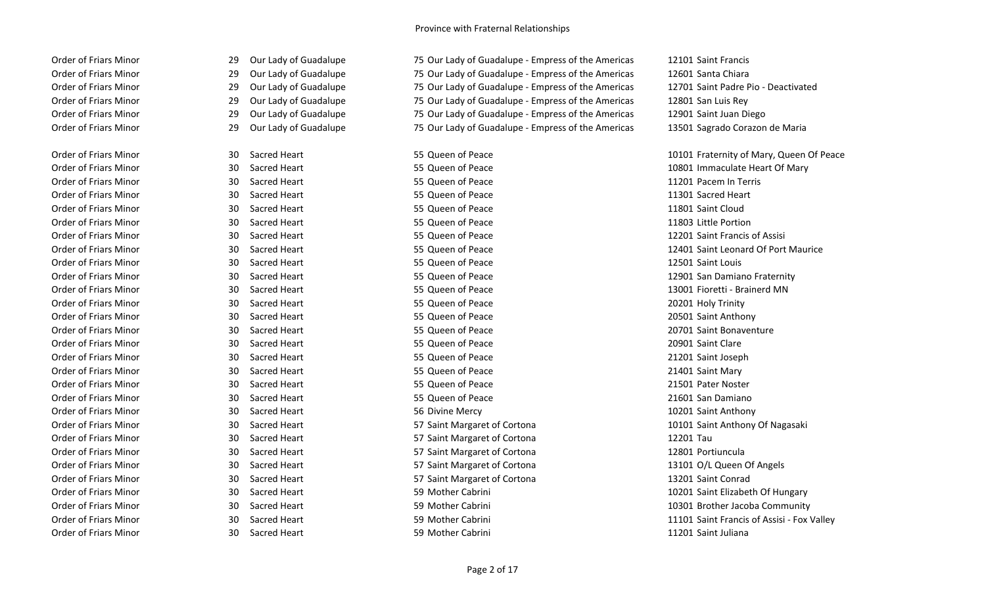| <b>Order of Friars Minor</b> | 29 | Our Lady of Guadalupe | 75 Our Lady of Guadalupe - Empress of the Americas | 12101 Saint Francis                        |
|------------------------------|----|-----------------------|----------------------------------------------------|--------------------------------------------|
| Order of Friars Minor        | 29 | Our Lady of Guadalupe | 75 Our Lady of Guadalupe - Empress of the Americas | 12601 Santa Chiara                         |
| Order of Friars Minor        | 29 | Our Lady of Guadalupe | 75 Our Lady of Guadalupe - Empress of the Americas | 12701 Saint Padre Pio - Deactivated        |
| Order of Friars Minor        | 29 | Our Lady of Guadalupe | 75 Our Lady of Guadalupe - Empress of the Americas | 12801 San Luis Rey                         |
| Order of Friars Minor        | 29 | Our Lady of Guadalupe | 75 Our Lady of Guadalupe - Empress of the Americas | 12901 Saint Juan Diego                     |
| <b>Order of Friars Minor</b> | 29 | Our Lady of Guadalupe | 75 Our Lady of Guadalupe - Empress of the Americas | 13501 Sagrado Corazon de Maria             |
| <b>Order of Friars Minor</b> | 30 | Sacred Heart          | 55 Queen of Peace                                  | 10101 Fraternity of Mary, Queen Of Peace   |
| Order of Friars Minor        | 30 | Sacred Heart          | 55 Queen of Peace                                  | 10801 Immaculate Heart Of Mary             |
| <b>Order of Friars Minor</b> | 30 | Sacred Heart          | 55 Queen of Peace                                  | 11201 Pacem In Terris                      |
| Order of Friars Minor        | 30 | Sacred Heart          | 55 Queen of Peace                                  | 11301 Sacred Heart                         |
| Order of Friars Minor        | 30 | Sacred Heart          | 55 Queen of Peace                                  | 11801 Saint Cloud                          |
| Order of Friars Minor        | 30 | Sacred Heart          | 55 Queen of Peace                                  | 11803 Little Portion                       |
| Order of Friars Minor        | 30 | Sacred Heart          | 55 Queen of Peace                                  | 12201 Saint Francis of Assisi              |
| Order of Friars Minor        | 30 | Sacred Heart          | 55 Queen of Peace                                  | 12401 Saint Leonard Of Port Maurice        |
| Order of Friars Minor        | 30 | Sacred Heart          | 55 Queen of Peace                                  | 12501 Saint Louis                          |
| Order of Friars Minor        | 30 | Sacred Heart          | 55 Queen of Peace                                  | 12901 San Damiano Fraternity               |
| <b>Order of Friars Minor</b> | 30 | Sacred Heart          | 55 Queen of Peace                                  | 13001 Fioretti - Brainerd MN               |
| <b>Order of Friars Minor</b> | 30 | Sacred Heart          | 55 Queen of Peace                                  | 20201 Holy Trinity                         |
| <b>Order of Friars Minor</b> | 30 | Sacred Heart          | 55 Queen of Peace                                  | 20501 Saint Anthony                        |
| Order of Friars Minor        | 30 | Sacred Heart          | 55 Queen of Peace                                  | 20701 Saint Bonaventure                    |
| <b>Order of Friars Minor</b> | 30 | Sacred Heart          | 55 Queen of Peace                                  | 20901 Saint Clare                          |
| Order of Friars Minor        | 30 | Sacred Heart          | 55 Queen of Peace                                  | 21201 Saint Joseph                         |
| Order of Friars Minor        | 30 | Sacred Heart          | 55 Queen of Peace                                  | 21401 Saint Mary                           |
| <b>Order of Friars Minor</b> | 30 | Sacred Heart          | 55 Queen of Peace                                  | 21501 Pater Noster                         |
| Order of Friars Minor        | 30 | Sacred Heart          | 55 Queen of Peace                                  | 21601 San Damiano                          |
| <b>Order of Friars Minor</b> | 30 | Sacred Heart          | 56 Divine Mercy                                    | 10201 Saint Anthony                        |
| Order of Friars Minor        | 30 | Sacred Heart          | 57 Saint Margaret of Cortona                       | 10101 Saint Anthony Of Nagasaki            |
| Order of Friars Minor        | 30 | Sacred Heart          | 57 Saint Margaret of Cortona                       | 12201 Tau                                  |
| <b>Order of Friars Minor</b> | 30 | Sacred Heart          | 57 Saint Margaret of Cortona                       | 12801 Portiuncula                          |
| Order of Friars Minor        | 30 | Sacred Heart          | 57 Saint Margaret of Cortona                       | 13101 O/L Queen Of Angels                  |
| <b>Order of Friars Minor</b> | 30 | Sacred Heart          | 57 Saint Margaret of Cortona                       | 13201 Saint Conrad                         |
| Order of Friars Minor        | 30 | Sacred Heart          | 59 Mother Cabrini                                  | 10201 Saint Elizabeth Of Hungary           |
| Order of Friars Minor        | 30 | Sacred Heart          | 59 Mother Cabrini                                  | 10301 Brother Jacoba Community             |
| Order of Friars Minor        | 30 | Sacred Heart          | 59 Mother Cabrini                                  | 11101 Saint Francis of Assisi - Fox Valley |
| Order of Friars Minor        | 30 | Sacred Heart          | 59 Mother Cabrini                                  | 11201 Saint Juliana                        |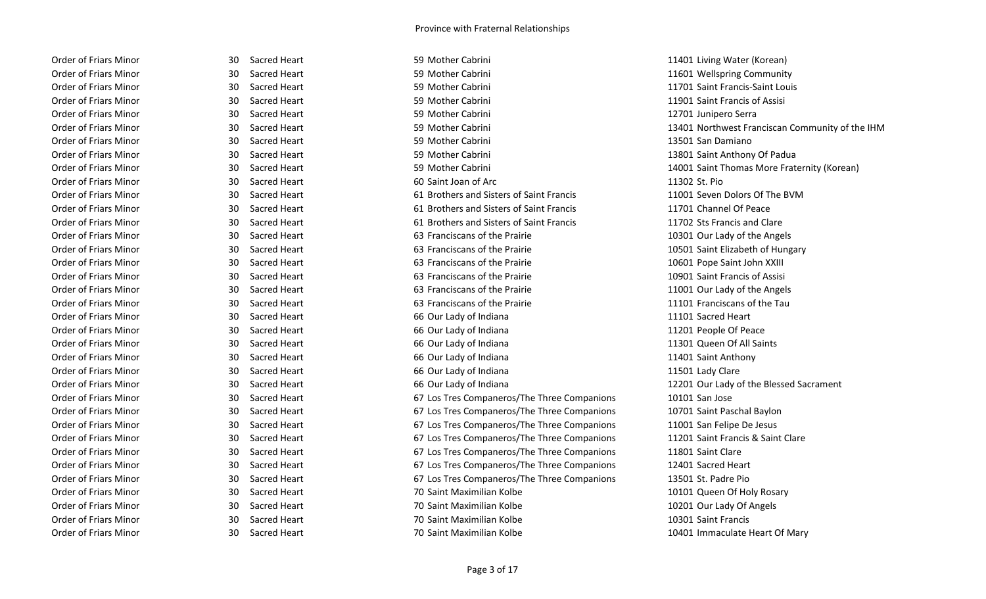| <b>Order of Friars Minor</b> |
|------------------------------|
| Order of Friars Minor        |
| Order of Friars Minor        |
| Order of Friars Minor        |
| Order of Friars Minor        |
| Order of Friars Minor        |
| Order of Friars Minor        |
| <b>Order of Friars Minor</b> |
| Order of Friars Minor        |
| Order of Friars Minor        |
| Order of Friars Minor        |
| Order of Friars Minor        |
| Order of Friars Minor        |
| Order of Friars Minor        |
| Order of Friars Minor        |
| Order of Friars Minor        |
| Order of Friars Minor        |
| Order of Friars Minor        |
| Order of Friars Minor        |
| Order of Friars Minor        |
| Order of Friars Minor        |
| Order of Friars Minor        |
| Order of Friars Minor        |
| Order of Friars Minor        |
| Order of Friars Minor        |
| Order of Friars Minor        |
| <b>Order of Friars Minor</b> |
| Order of Friars Minor        |
| Order of Friars Minor        |
| Order of Friars Minor        |
| Order of Friars Minor        |
| Order of Friars Minor        |
| Order of Friars Minor        |
| Order of Friars Minor        |
| Order of Friars Minor        |
| Order of Friars Minor        |

| 30  | Sacred Heart        |
|-----|---------------------|
| 30  | Sacred Heart        |
| 30  | Sacred Heart        |
| 30  | Sacred Heart        |
| 30  | Sacred Heart        |
| 30  | Sacred Heart        |
| 30  | Sacred Heart        |
| 30  | Sacred Heart        |
| 30  | Sacred Heart        |
| 30  | Sacred Heart        |
| 30  | Sacred Heart        |
| 30  | Sacred Heart        |
| 30  | Sacred Heart        |
| 30  | <b>Sacred Heart</b> |
| 30  | Sacred Heart        |
| 30  | Sacred Heart        |
| 30  | Sacred Heart        |
| 30  | Sacred Heart        |
| 30  | Sacred Heart        |
| 30  | Sacred Heart        |
| 30  | Sacred Heart        |
| 30  | Sacred Heart        |
| 30  | Sacred Heart        |
| 30  | Sacred Heart        |
| 30  | Sacred Heart        |
| 30  | Sacred Heart        |
| 30  | Sacred Heart        |
| 30  | Sacred Heart        |
| 30  | Sacred Heart        |
| 30  | Sacred Heart        |
| 30  | Sacred Heart        |
| 30  | Sacred Heart        |
| 30- | Sacred Heart        |
| 30  | Sacred Heart        |
| 30  | Sacred Heart        |
| 30  | <b>Sacred Heart</b> |

| Order of Friars Minor        | Sacred Heart<br>30        | 59 Mother Cabrini                           | 11401 Living Water (Korean)       |
|------------------------------|---------------------------|---------------------------------------------|-----------------------------------|
| <b>Order of Friars Minor</b> | Sacred Heart<br>30        | 59 Mother Cabrini                           | 11601 Wellspring Community        |
| Order of Friars Minor        | Sacred Heart<br>30        | 59 Mother Cabrini                           | 11701 Saint Francis-Saint Louis   |
| Order of Friars Minor        | 30<br>Sacred Heart        | 59 Mother Cabrini                           | 11901 Saint Francis of Assisi     |
| Order of Friars Minor        | 30<br>Sacred Heart        | 59 Mother Cabrini                           | 12701 Junipero Serra              |
| Order of Friars Minor        | Sacred Heart<br>30        | 59 Mother Cabrini                           | 13401 Northwest Franciscan Comi   |
| Order of Friars Minor        | Sacred Heart<br>30        | 59 Mother Cabrini                           | 13501 San Damiano                 |
| Order of Friars Minor        | Sacred Heart<br>30        | 59 Mother Cabrini                           | 13801 Saint Anthony Of Padua      |
| Order of Friars Minor        | Sacred Heart<br>30        | 59 Mother Cabrini                           | 14001 Saint Thomas More Fratern   |
| Order of Friars Minor        | 30<br>Sacred Heart        | 60 Saint Joan of Arc                        | 11302 St. Pio                     |
| Order of Friars Minor        | Sacred Heart<br>30        | 61 Brothers and Sisters of Saint Francis    | 11001 Seven Dolors Of The BVM     |
| <b>Order of Friars Minor</b> | 30<br>Sacred Heart        | 61 Brothers and Sisters of Saint Francis    | 11701 Channel Of Peace            |
| Order of Friars Minor        | 30<br>Sacred Heart        | 61 Brothers and Sisters of Saint Francis    | 11702 Sts Francis and Clare       |
| Order of Friars Minor        | Sacred Heart<br>30        | 63 Franciscans of the Prairie               | 10301 Our Lady of the Angels      |
| Order of Friars Minor        | Sacred Heart<br>30        | 63 Franciscans of the Prairie               | 10501 Saint Elizabeth of Hungary  |
| Order of Friars Minor        | Sacred Heart<br>30        | 63 Franciscans of the Prairie               | 10601 Pope Saint John XXIII       |
| Order of Friars Minor        | 30<br>Sacred Heart        | 63 Franciscans of the Prairie               | 10901 Saint Francis of Assisi     |
| Order of Friars Minor        | 30<br>Sacred Heart        | 63 Franciscans of the Prairie               | 11001 Our Lady of the Angels      |
| <b>Order of Friars Minor</b> | Sacred Heart<br>30        | 63 Franciscans of the Prairie               | 11101 Franciscans of the Tau      |
| Order of Friars Minor        | Sacred Heart<br>30        | 66 Our Lady of Indiana                      | 11101 Sacred Heart                |
| Order of Friars Minor        | Sacred Heart<br>30        | 66 Our Lady of Indiana                      | 11201 People Of Peace             |
| Order of Friars Minor        | Sacred Heart<br>30        | 66 Our Lady of Indiana                      | 11301 Queen Of All Saints         |
| Order of Friars Minor        | Sacred Heart<br>30        | 66 Our Lady of Indiana                      | 11401 Saint Anthony               |
| <b>Order of Friars Minor</b> | 30<br>Sacred Heart        | 66 Our Lady of Indiana                      | 11501 Lady Clare                  |
| <b>Order of Friars Minor</b> | Sacred Heart<br>30        | 66 Our Lady of Indiana                      | 12201 Our Lady of the Blessed Sac |
| <b>Order of Friars Minor</b> | Sacred Heart<br>30        | 67 Los Tres Companeros/The Three Companions | 10101 San Jose                    |
| Order of Friars Minor        | Sacred Heart<br>30        | 67 Los Tres Companeros/The Three Companions | 10701 Saint Paschal Baylon        |
| Order of Friars Minor        | 30<br>Sacred Heart        | 67 Los Tres Companeros/The Three Companions | 11001 San Felipe De Jesus         |
| <b>Order of Friars Minor</b> | Sacred Heart<br>30        | 67 Los Tres Companeros/The Three Companions | 11201 Saint Francis & Saint Clare |
| <b>Order of Friars Minor</b> | <b>Sacred Heart</b><br>30 | 67 Los Tres Companeros/The Three Companions | 11801 Saint Clare                 |
| <b>Order of Friars Minor</b> | Sacred Heart<br>30        | 67 Los Tres Companeros/The Three Companions | 12401 Sacred Heart                |
| Order of Friars Minor        | Sacred Heart<br>30        | 67 Los Tres Companeros/The Three Companions | 13501 St. Padre Pio               |
| Order of Friars Minor        | Sacred Heart<br>30        | 70 Saint Maximilian Kolbe                   | 10101 Queen Of Holy Rosary        |
| Order of Friars Minor        | Sacred Heart<br>30        | 70 Saint Maximilian Kolbe                   | 10201 Our Lady Of Angels          |
| Order of Friars Minor        | <b>Sacred Heart</b><br>30 | 70 Saint Maximilian Kolbe                   | 10301 Saint Francis               |
| Order of Friars Minor        | 30<br>Sacred Heart        | 70 Saint Maximilian Kolbe                   | 10401 Immaculate Heart Of Mary    |

11401 Living Water (Korean) 11601 Wellspring Community 11701 Saint Francis-Saint Louis 11901 Saint Francis of Assisi 12701 Junipero Serra 13401 Northwest Franciscan Community of the IHM 13801 Saint Anthony Of Padua 14001 Saint Thomas More Fraternity (Korean) 11001 Seven Dolors Of The BVM 11701 Channel Of Peace 11702 Sts Francis and Clare 10301 Our Lady of the Angels 10501 Saint Elizabeth of Hungary 10601 Pope Saint John XXIII 10901 Saint Francis of Assisi 11001 Our Lady of the Angels 11101 Franciscans of the Tau 11201 People Of Peace 11301 Queen Of All Saints 11401 Saint Anthony 12201 Our Lady of the Blessed Sacrament Dranions 10701 Saint Paschal Baylon Dranions 11001 San Felipe De Jesus Order of Triangler 30 Saint Francis & Saint Clare 10101 Queen Of Holy Rosary 10201 Our Lady Of Angels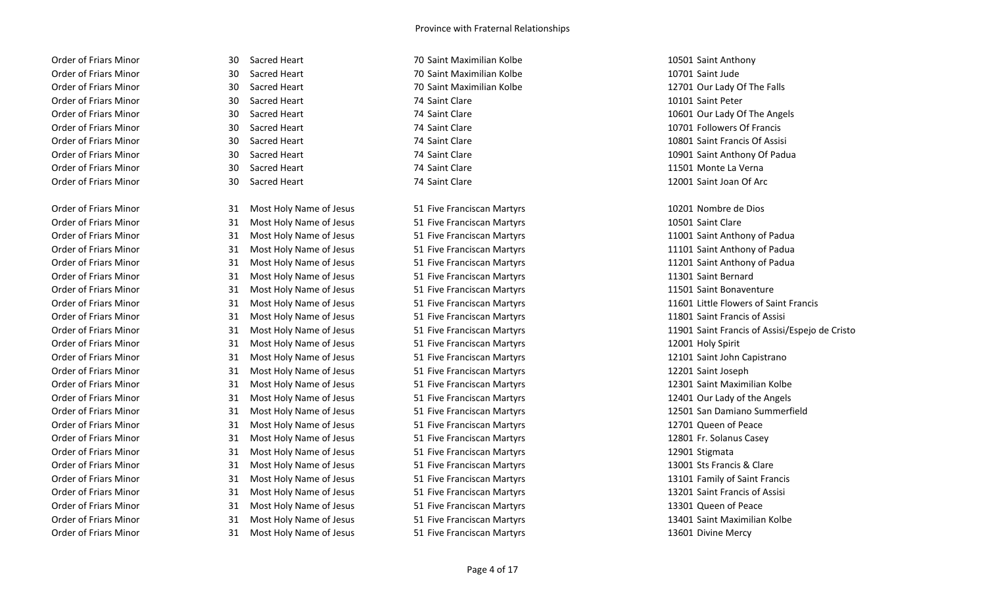Order of Friars Minor **30 Sacred Heart** 10501 Saint Anthony **30 Sacred Heart 10501 Saint Anthony 10501 Saint Anthony** Order of Friars Minor **30 Sacred Heart** 30 Sacred Heart 30 Saint Maximilian Kolbe 10701 Saint Jude Order of Friars Minor 30 Sacred Heart 74 Saint Clare 10101 Saint Peter Order of Friars Minor **30 Sacred Heart** 130 Sacred 10 and 2008 74 Saint Clare 11501 Monte La Verna

Order of Friars Minor **31 Most Holy Name of Jesus** 51 Five Franciscan Martyrs 10201 Nombre de Dios Order of Friars Minor **31 Most Holy Name of Jesus** 51 Five Franciscan Martyrs **10501** Saint Clare Order of Friars Minor **31 Most Holy Name of Jesus** 51 Five Franciscan Martyrs 11001 Saint Anthony of Padua Order of Friars Minor **31 Most Holy Name of Jesus** 51 Five Franciscan Martyrs 11101 Saint Anthony of Padua Order of Friars Minor **31 Most Holy Name of Jesus** 51 Five Franciscan Martyrs **11201 Saint Anthony of Padua** Order of Friars Minor **31 Most Holy Name of Jesus** 51 Five Franciscan Martyrs 11301 Saint Bernard Order of Friars Minor **31 Most Holy Name of Jesus** 51 Five Franciscan Martyrs 11501 Saint Bonaventure 11501 Saint Bonaventure Order of Friars Minor **31 Most Holy Name of Jesus** 51 Five Franciscan Martyrs **11801 Saint Francis of Assisi** 6 Assisi Order of Friars Minor **31 Most Holy Name of Jesus** 51 Five Franciscan Martyrs 12001 Holy Spirit Order of Friars Minor **31 Most Holy Name of Jesus** 51 Five Franciscan Martyrs 12101 Saint John Capistrano 12101 Saint John Capistrano Order of Friars Minor **31 Most Holy Name of Jesus** 51 Five Franciscan Martyrs 12201 Saint Joseph Order of Friars Minor **31 Most Holy Name of Jesus** 51 Five Franciscan Martyrs **12301** Saint Maximilian Kolbe Order of Friars Minor **31 Most Holy Name of Jesus** 51 Five Franciscan Martyrs 12401 Our Lady of the Angels Order of Friars Minor **31 Most Holy Name of Jesus** 51 Five Franciscan Martyrs **12701** Queen of Peace Order of Friars Minor **31 Most Holy Name of Jesus** 51 Five Franciscan Martyrs 12801 Fr. Solanus Casey Order of Friars Minor **31 Most Holy Name of Jesus** 51 Five Franciscan Martyrs **12901** Stigmata Order of Friars Minor **31 Most Holy Name of Jesus** 51 Five Franciscan Martyrs 13001 Sts Francis & Clare Order of Friars Minor 31 Most Holy Name of Jesus 51 Five Franciscan Martyrs 13101 Family of Saint Franciscan Martyrs Order of Friars Minor **31 Most Holy Name of Jesus** 51 Five Franciscan Martyrs **13201** Saint Francis of Assisi Order of Friars Minor **31 Most Holy Name of Jesus** 51 Five Franciscan Martyrs **13301 Queen of Peace** 13301 Queen of Peace

Order of Friars Minor **31 Most Holy Name of Jesus** 51 Five Franciscan Martyrs 13601 Divine Mercy

Order of Friars Minor **30 Sacred Heart** 130 Sacred Heart 12701 Our Lady Of The Falls Order of Friars Minor **30 Sacred Heart** 24 Saint Clare 2008 74 Saint Clare 2008 10601 Our Lady Of The Angels Order of Friars Minor **30 Sacred Heart** 74 Saint Clare **10701 Followers Of Francis 10701 Followers Of Francis** Order of Friars Minor **30** Sacred Heart 10801 Saint Clare 10801 Saint Francis Of Assisi Order of Friars Minor **30 Sacred Heart** 10901 Saint Clare 10901 Saint Anthony Of Padua Order of Friars Minor 30 Sacred Heart 74 Saint Clare 12001 Saint Joan Of Arc

Order of Friars Minor 31 Most Holy Name of Jesus 51 Five Franciscan Martyrs 11601 Little Flowers of Saint Francis Order of Friars Minor **31 Most Holy Name of Jesus** 51 Five Franciscan Martyrs 11901 Saint Francis of Assisi/Espejo de Cristo Order of Friars Minor **31 Most Holy Name of Jesus** 51 Five Franciscan Martyrs 12501 San Damiano Summerfield **Summerfield** Order of Friars Minor **31 Most Holy Name of Jesus** 51 Five Franciscan Martyrs 13401 Saint Maximilian Kolbe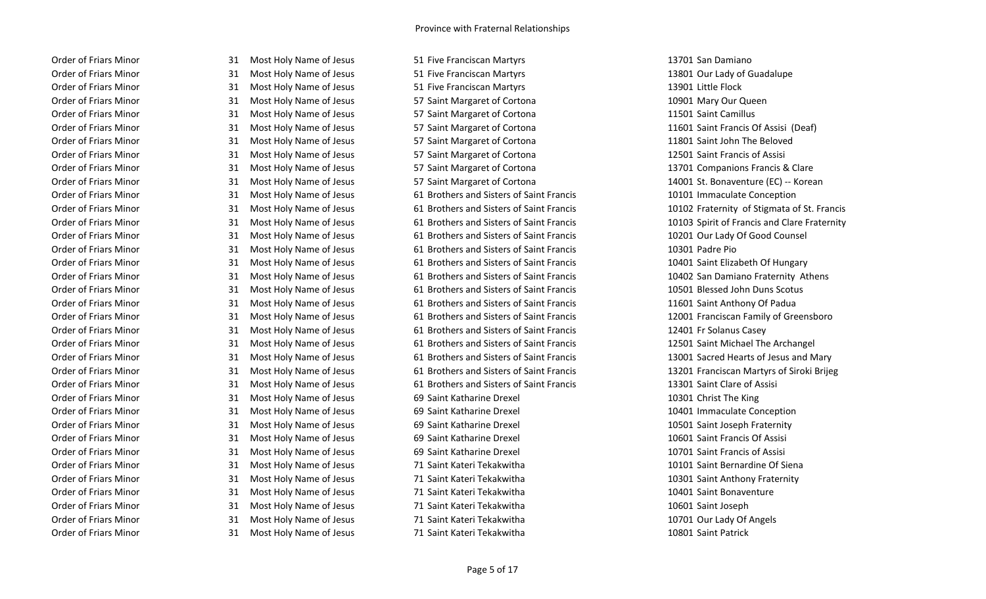Order of Friars Minor **31 Most Holy Name of Jesus** 51 Five Franciscan Martyrs 13701 San Damiano Order of Friars Minor **31 Most Holy Name of Jesus** 51 Five Franciscan Martyrs 13801 Our Lady of Guadalupe Order of Friars Minor **31 Most Holy Name of Jesus** 51 Five Franciscan Martyrs **13901** Little Flock Order of Friars Minor **31 Most Holy Name of Jesus** 57 Saint Margaret of Cortona 10901 Mary Our Queen Order of Friars Minor **31 Most Holy Name of Jesus** 57 Saint Margaret of Cortona 11501 Saint Camillus Order of Friars Minor 31 Most Holy Name of Jesus 57 Saint Margaret of Cortona 11601 Saint Francis Of Assisi (Deaf) Order of Friars Minor 31 Most Holy Name of Jesus 57 Saint Margaret of Cortona 11801 Saint John The Beloved Order of Friars Minor 31 Most Holy Name of Jesus 57 Saint Margaret of Cortona 12501 Saint Francis of Assisi Order of Friars Minor 31 Most Holy Name of Jesus 57 Saint Margaret of Cortona 13701 Companions Francis & Clare Order of Friars Minor 31 Most Holy Name of Jesus 61 Brothers and Sisters of Saint Francis 10101 Immaculate Conception Order of Friars Minor **31 Most Holy Name of Jesus** 61 Brothers and Sisters of Saint Francis 10201 Our Lady Of Good Counsel Order of Friars Minor 31 Most Holy Name of Jesus 61 Brothers and Sisters of Saint Francis 10301 Padre Pio Order of Friars Minor 31 Most Holy Name of Jesus 61 Brothers and Sisters of Saint Francis 10401 Saint Elizabeth Of Hungary Order of Friars Minor **31 Most Holy Name of Jesus** 61 Brothers and Sisters of Saint Francis 10501 Blessed John Duns Scotus Order of Friars Minor 31 Most Holy Name of Jesus 61 Brothers and Sisters of Saint Francis 11601 Saint Anthony Of Padua Order of Friars Minor 31 Most Holy Name of Jesus 61 Brothers and Sisters of Saint Francis 12401 Fr Solanus Casey Order of Friars Minor 31 Most Holy Name of Jesus 61 Brothers and Sisters of Saint Francis 12501 Saint Michael The Archangel Order of Friars Minor 31 Most Holy Name of Jesus 61 Brothers and Sisters of Saint Francis 13301 Saint Clare of Assisi Order of Friars Minor **31 Most Holy Name of Jesus** 69 Saint Katharine Drexel **10301** Christ The King Order of Friars Minor **31 Most Holy Name of Jesus** 69 Saint Katharine Drexel **10401** Immaculate Conception Order of Friars Minor **31 Most Holy Name of Jesus** 69 Saint Katharine Drexel 10501 Saint Joseph Fraternity Order of Friars Minor **31 Most Holy Name of Jesus** 69 Saint Katharine Drexel 10601 Saint Francis Of Assisi Order of Friars Minor **31 Most Holy Name of Jesus** 69 Saint Katharine Drexel 10701 Saint Francis of Assisi Order of Friars Minor 31 Most Holy Name of Jesus 71 Saint Kateri Tekakwitha 10101 Saint Bernardine Of Siena Order of Friars Minor 31 Most Holy Name of Jesus 71 Saint Kateri Tekakwitha 10301 Saint Anthony Fraternity Order of Friars Minor **31 Most Holy Name of Jesus** 71 Saint Kateri Tekakwitha 10401 Saint Bonaventure Order of Friars Minor **31 Most Holy Name of Jesus** 71 Saint Kateri Tekakwitha 10601 Saint Joseph Order of Friars Minor 31 Most Holy Name of Jesus 71 Saint Kateri Tekakwitha 10701 Our Lady Of Angels Order of Friars Minor **31 Most Holy Name of Jesus** 71 Saint Kateri Tekakwitha 10801 Saint Patrick

Order of Friars Minor 31 Most Holy Name of Jesus 57 Saint Margaret of Cortona 14001 St. Bonaventure (EC) -- Korean Order of Friars Minor 31 Most Holy Name of Jesus 61 Brothers and Sisters of Saint Francis 10102 Fraternity of Stigmata of St. Francis Order of Friars Minor **31 Most Holy Name of Jesus** 61 Brothers and Sisters of Saint Francis 10103 Spirit of Francis and Clare Fraternity Order of Friars Minor 31 Most Holy Name of Jesus 61 Brothers and Sisters of Saint Francis 10402 San Damiano Fraternity Athens Order of Friars Minor **31 Most Holy Name of Jesus** 61 Brothers and Sisters of Saint Francis **61 Brothers 12001** Franciscan Family of Greensboro Order of Friars Minor 31 Most Holy Name of Jesus 61 Brothers and Sisters of Saint Francis 13001 Sacred Hearts of Jesus and Mary Order of Friars Minor **31 Most Holy Name of Jesus** 61 Brothers and Sisters of Saint Francis 13201 Franciscan Martyrs of Siroki Brijeg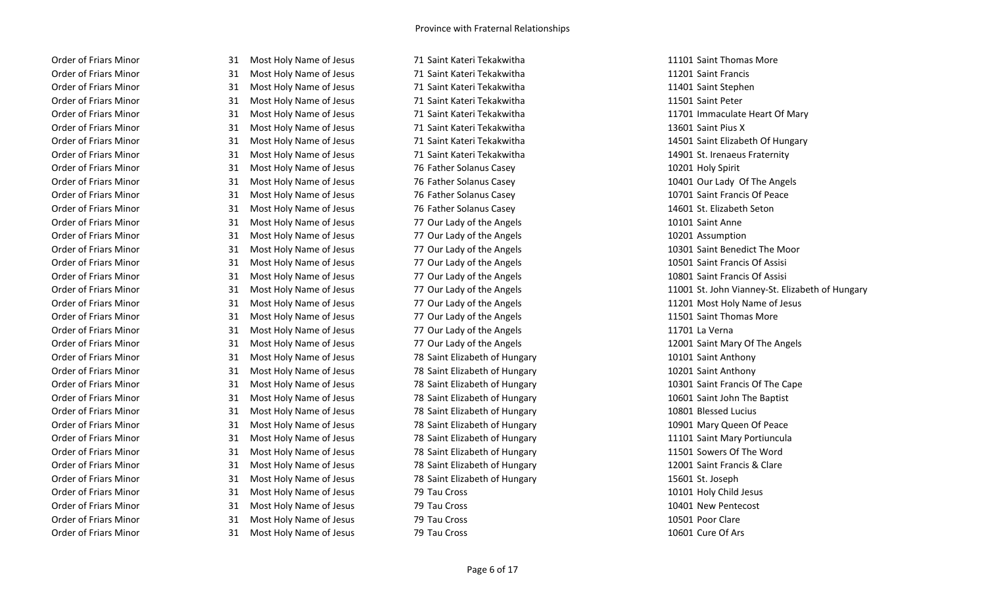Order of Friars Minor **31 Most Holy Name of Jesus** 71 Saint Kateri Tekakwitha 11201 Saint Francis Order of Friars Minor 31 Most Holy Name of Jesus 71 Saint Kateri Tekakwitha 11401 Saint Stephen Order of Friars Minor **31 Most Holy Name of Jesus** 71 Saint Kateri Tekakwitha 11501 Saint Peter Order of Friars Minor **31 Most Holy Name of Jesus** 71 Saint Kateri Tekakwitha 11701 Immaculate Heart Of Mary Order of Friars Minor **31 Most Holy Name of Jesus** 71 Saint Kateri Tekakwitha 13601 Saint Pius X Order of Friars Minor 31 Most Holy Name of Jesus 71 Saint Kateri Tekakwitha 14501 Saint Elizabeth Of Hungary Order of Friars Minor **31 Most Holy Name of Jesus** 71 Saint Kateri Tekakwitha 14901 St. Irenaeus Fraternity Order of Friars Minor **31 Most Holy Name of Jesus** 76 Father Solanus Casey 10201 Holy Spirit Order of Friars Minor 31 Most Holy Name of Jesus 76 Father Solanus Casey 10401 Our Lady Of The Angels Order of Friars Minor 31 Most Holy Name of Jesus 76 Father Solanus Casey 10701 Saint Francis Of Peace Order of Friars Minor **31 Most Holy Name of Jesus** 76 Father Solanus Casey **14601** St. Elizabeth Seton Order of Friars Minor **31 Most Holy Name of Jesus** 77 Our Lady of the Angels 10101 Saint Anne Order of Friars Minor **31 Most Holy Name of Jesus** 77 Our Lady of the Angels 10201 Assumption Order of Friars Minor **31 Most Holy Name of Jesus** 77 Our Lady of the Angels 10301 Saint Benedict The Moor Order of Friars Minor **31 Most Holy Name of Jesus 77 Our Lady of the Angels** 10501 Saint Francis Of Assisi Order of Friars Minor 31 Most Holy Name of Jesus 77 Our Lady of the Angels 10801 Saint Francis Of Assisi Order of Friars Minor **31 Most Holy Name of Jesus** 77 Our Lady of the Angels 11201 Most Holy Name of Jesus 11201 Most Holy Name of Jesus Order of Friars Minor **31 Most Holy Name of Jesus** 77 Our Lady of the Angels 11501 Saint Thomas More Order of Friars Minor **31 Most Holy Name of Jesus** 77 Our Lady of the Angels 11701 La Verna Order of Friars Minor 31 Most Holy Name of Jesus 77 Our Lady of the Angels 12001 Saint Mary Of The Angels Order of Friars Minor **31 Most Holy Name of Jesus** 78 Saint Elizabeth of Hungary 10101 Saint Anthony Order of Friars Minor **31 Most Holy Name of Jesus** 78 Saint Elizabeth of Hungary 10201 Saint Anthony Order of Friars Minor 31 Most Holy Name of Jesus 78 Saint Elizabeth of Hungary 10301 Saint Francis Of The Cape Order of Friars Minor 31 Most Holy Name of Jesus 78 Saint Elizabeth of Hungary 10601 Saint John The Baptist Order of Friars Minor **31 Most Holy Name of Jesus** 78 Saint Elizabeth of Hungary 10801 Blessed Lucius 10801 Blessed Lucius Order of Friars Minor **31 Most Holy Name of Jesus** 78 Saint Elizabeth of Hungary 10901 Mary Queen Of Peace Order of Friars Minor **31 Most Holy Name of Jesus** 78 Saint Elizabeth of Hungary 11101 Saint Mary Portiuncula Order of Friars Minor 31 Most Holy Name of Jesus 78 Saint Elizabeth of Hungary 11501 Sowers Of The Word Order of Friars Minor 31 Most Holy Name of Jesus 78 Saint Elizabeth of Hungary 12001 Saint Francis & Clare Order of Friars Minor **31 Most Holy Name of Jesus** 78 Saint Elizabeth of Hungary 15601 St. Joseph Order of Friars Minor **31 Most Holy Name of Jesus 79 Tau Cross** 10101 Holy Child Jesus 10101 Holy Child Jesus Order of Friars Minor **31 Most Holy Name of Jesus** 79 Tau Cross 10401 New Pentecost 10401 New Pentecost Order of Friars Minor **31 Most Holy Name of Jesus** 79 Tau Cross 79 Tau Cross 10501 Poor Clare Order of Friars Minor **31 Most Holy Name of Jesus 79 Tau Cross** 10601 Cure Of Ars 10601 Cure Of Ars

Order of Friars Minor **31 Most Holy Name of Jesus** 71 Saint Kateri Tekakwitha 11101 Saint Thomas More

Order of Friars Minor 31 Most Holy Name of Jesus 77 Our Lady of the Angels 11001 St. John Vianney-St. Elizabeth of Hungary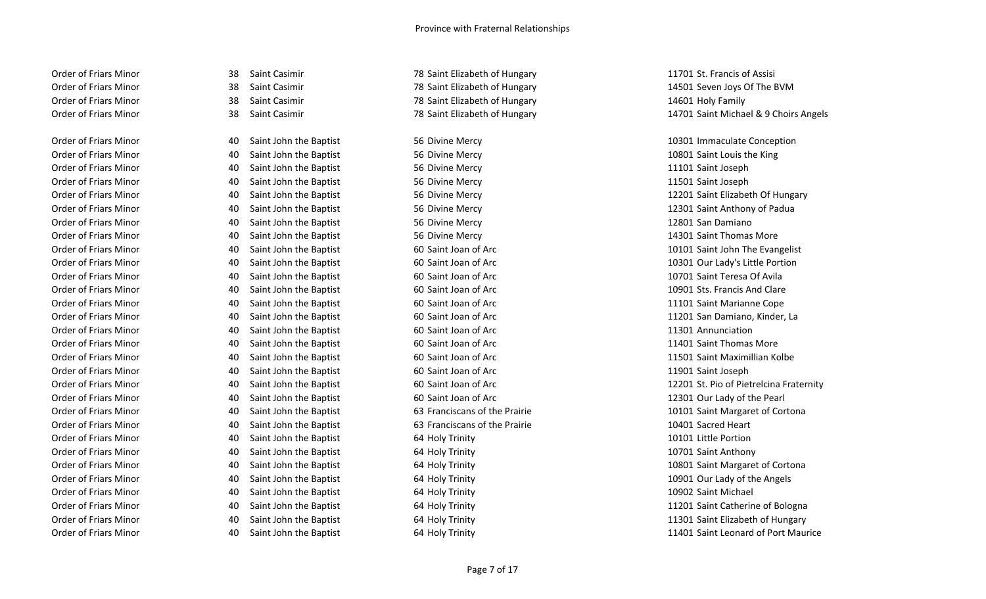- 
- 

Order of Friars Minor **10301 Immaculate Conception** 40 Saint John the Baptist 56 Divine Mercy 10301 Immaculate Conception Order of Friars Minor **10801** Saint John the Baptist 56 Divine Mercy 10801 Saint Louis the King Order of Friars Minor **11101 Saint John the Baptist** 56 Divine Mercy 156 Divine Mercy 11101 Saint Joseph Order of Friars Minor **11501** Saint John the Baptist 56 Divine Mercy 11501 Saint Joseph Order of Friars Minor **12801 Saint John the Baptist** 56 Divine Mercy **12801 San Damiano** 12801 San Damiano Order of Friars Minor **14301 Saint John the Baptist** 56 Divine Mercy 156 Divine Mercy 14301 Saint Thomas More Order of Friars Minor **10701 Saint John the Baptist** 60 Saint Joan of Arc 10701 Saint Teresa Of Avila Order of Friars Minor **10901 Sts. Francis And Clare** 60 Saint Joan of Arc 10901 Sts. Francis And Clare Order of Friars Minor **11101 Saint John the Baptist** 60 Saint Joan of Arc 11101 Saint Marianne Cope Order of Friars Minor **11301 Annunciation** 40 Saint John the Baptist 60 Saint Joan of Arc 11301 Annunciation Order of Friars Minor **40 Saint John the Baptist** 60 Saint Joan of Arc 11401 Saint Thomas More Order of Friars Minor **11901** Saint John the Baptist 60 Saint Joan of Arc 11901 Saint Joseph Order of Friars Minor **12301 Our Lady of the Pearl** 40 Saint John the Baptist 60 Saint Joan of Arc 12301 Our Lady of the Pearl Order of Friars Minor **10401 Saint John the Baptist** 63 Franciscans of the Prairie 10401 Sacred Heart Order of Friars Minor **10101** Little Portion 10101 Little Portion Order of Friars Minor **10701** Saint John the Baptist 64 Holy Trinity 10701 Saint Anthony Order of Friars Minor **10901 Our Lady of the Angels** 64 Holy Trinity 10901 Our Lady of the Angels Order of Friars Minor **10902 Saint John the Baptist** 64 Holy Trinity **10902 Saint Michael** 10902 Saint Michael

Order of Friars Minor **38 Saint Casimir** 38 Saint Casimir 78 Saint Elizabeth of Hungary 11701 St. Francis of Assisi Order of Friars Minor **38 Saint Casimir** 38 Saint Casimir 78 Saint Elizabeth of Hungary 14601 Holy Family Family

Order of Friars Minor 38 Saint Casimir 78 Saint Elizabeth of Hungary 14501 Seven Joys Of The BVM Order of Friars Minor 38 Saint Casimir 138 Saint Casimir 14701 Saint Michael & 9 Choirs Angels

Order of Friars Minor **12201 Saint John the Baptist** 156 Divine Mercy 12201 Saint Elizabeth Of Hungary Order of Friars Minor **12301 Saint John the Baptist** 56 Divine Mercy 12301 Saint Anthony of Padua Order of Friars Minor **10101 Saint John the Baptist** 60 Saint Joan of Arc 10101 Saint John The Evangelist Order of Friars Minor **10301 Our Lady's Little Portion** 60 Saint Joan of Arc 10301 Our Lady's Little Portion Order of Friars Minor **11201 Sammer Corporation** 40 Saint John the Baptist 60 Saint Joan of Arc 11201 San Damiano, Kinder, La Order of Friars Minor **11501 Saint John the Baptist** 60 Saint Joan of Arc 11501 Saint Maximillian Kolbe Order of Friars Minor **12201 St. Pio of Pietrelcina Fraternity** 60 Saint Joan of Arc 12201 St. Pio of Pietrelcina Fraternity Order of Friars Minor **10101 Saint John the Baptist** 63 Franciscans of the Prairie 10101 Saint Margaret of Cortona Order of Friars Minor **10801 Saint John the Baptist** 64 Holy Trinity **10801 Saint Margaret of Cortona** Order of Friars Minor **11201 Saint John the Baptist** 64 Holy Trinity 11201 Saint Catherine of Bologna Order of Friars Minor **11301 Saint John the Baptist** 64 Holy Trinity **11301 Saint Elizabeth of Hungary** 11301 Saint Elizabeth of Hungary Order of Friars Minor **11401 Saint John the Baptist** 64 Holy Trinity 11401 Saint Leonard of Port Maurice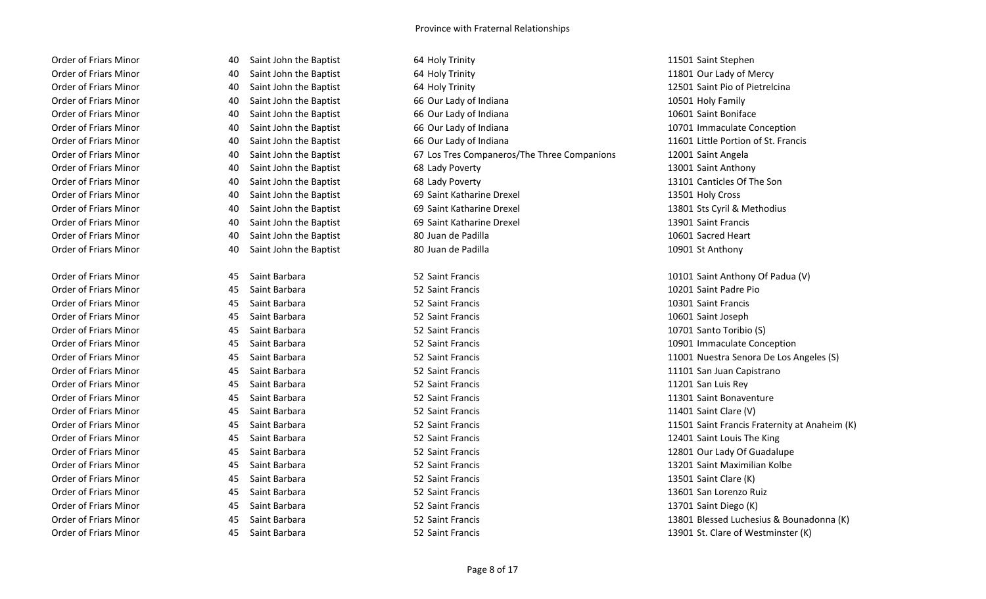| Order of Friars Minor |
|-----------------------|
| Order of Friars Minor |
| Order of Friars Minor |
| Order of Friars Minor |
| Order of Friars Minor |
| Order of Friars Minor |
| Order of Friars Minor |
| Order of Friars Minor |
| Order of Friars Minor |
| Order of Friars Minor |
| Order of Friars Minor |
| Order of Friars Minor |
| Order of Friars Minor |
| Order of Friars Minor |
| Order of Friars Minor |

ACC Saint John the Baptist **64 Holy Trinity** 11501 Saint Stephen AO Saint John the Baptist **64 Holy Trinity** 11801 Our Lady of Mercy AO Saint John the Baptist **64 Holy Trinity** 64 Holy Trinity 12501 Saint Pio of Pietrelcina AO Saint John the Baptist **66 Our Lady of Indiana** 10501 Holy Family Family According Saint John the Baptist **66 Our Lady of Indiana** 10601 Saint Boniface 10601 Saint Boniface AO Saint John the Baptist **66 Our Lady of Indiana** 10701 Immaculate Conception AO Saint John the Baptist **66 Our Lady of Indiana** 11601 Little Portion of St. Francis Order of Friars Minor 40 Saint John the Baptist 67 Los Tres Companeros/The Three Companions 12001 Saint Angela ACC Saint John the Baptist **68 Lady Poverty** 13001 Saint Anthony ACC Saint John the Baptist **68 Lady Poverty** 13101 Canticles Of The Son AO Saint John the Baptist **69 Saint Katharine Drexel 13501 Holy Cross** 13501 Holy Cross AO Saint John the Baptist **69 Saint Katharine Drexel** 13801 Sts Cyril & Methodius AO Saint John the Baptist **69 Saint Katharine Drexel** 13901 Saint Francis AOC Saint John the Baptist **80 Juan de Padilla** 10601 Sacred Heart 10601 Sacred Heart ACC Saint John the Baptist **80 Juan de Padilla** 10901 St Anthony Order of Friars Minor **10101 Saint Anthony Of Padua (V)** S2 Saint Francis 10101 Saint Anthony Of Padua (V) Order of Francis 10101 Saint Anthony Of Padua (V) Order of Friars Minor 45 Saint Barbara 52 Saint Francis 10201 Saint Padre Pio Order of Friars Minor 45 Saint Barbara 52 Saint Francis 10301 Saint Francis Order of Friars Minor 45 Saint Barbara 52 Saint Francis 10601 Saint Joseph Order of Friars Minor **10701 Santo Toribio (S)** Created by Assemblance 10701 Santo Toribio (S) Order of Friars Minor **10901 Immaculate Conception** 45 Saint Barbara 52 Saint Francis 10901 Immaculate Conception Order of Friars Minor **11001 Nuestra Senora De Los Angeles (S)** Saint Barbara 52 Saint Francis 11001 Nuestra Senora De Los Angeles (S) Order of Friars Minor **11101 San Juan Capistrano** 45 Saint Barbara 52 Saint Francis 11101 San Juan Capistrano Order of Friars Minor 45 Saint Barbara 52 Saint Francis 11201 San Luis Rey Order of Friars Minor **11301 Saint Barbara** 15 Saint Barbara 15 Saint Francis 11301 Saint Bonaventure Order of Friars Minor 45 Saint Barbara 52 Saint Francis 11401 Saint Clare (V) Order of Friars Minor **12401 Saint Barbara** 12401 Saint Barbara 52 Saint Francis 12401 Saint Louis The King Order of Friars Minor **12801 Our Lady Of Guadalupe** 52 Saint Francis 12801 Our Lady Of Guadalupe Order of Friars Minor **13201 Saint Access 13201 Saint Maximilian Kolbe** 52 Saint Francis 13201 Saint Maximilian Kolbe Order of Friars Minor **13501 Saint Barbara** 15501 Saint Barbara 13501 Saint Clare (K) Order of Friars Minor 45 Saint Barbara 52 Saint Francis 13601 San Lorenzo Ruiz Order of Friars Minor **13701 Saint Barbara** 45 Saint Barbara 52 Saint Francis 13701 Saint Diego (K) Order of Friars Minor **13901 St. Clare of Westminster (K)** Clare 6 Westminster (K) Clare of Westminster (K)

Order of Friars Minor 45 Saint Barbara 52 Saint Francis 11501 Saint Francis Fraternity at Anaheim (K) Order of Friars Minor **13801 Barbara** 45 Saint Barbara 13801 Blessed Luchesius & Bounadonna (K)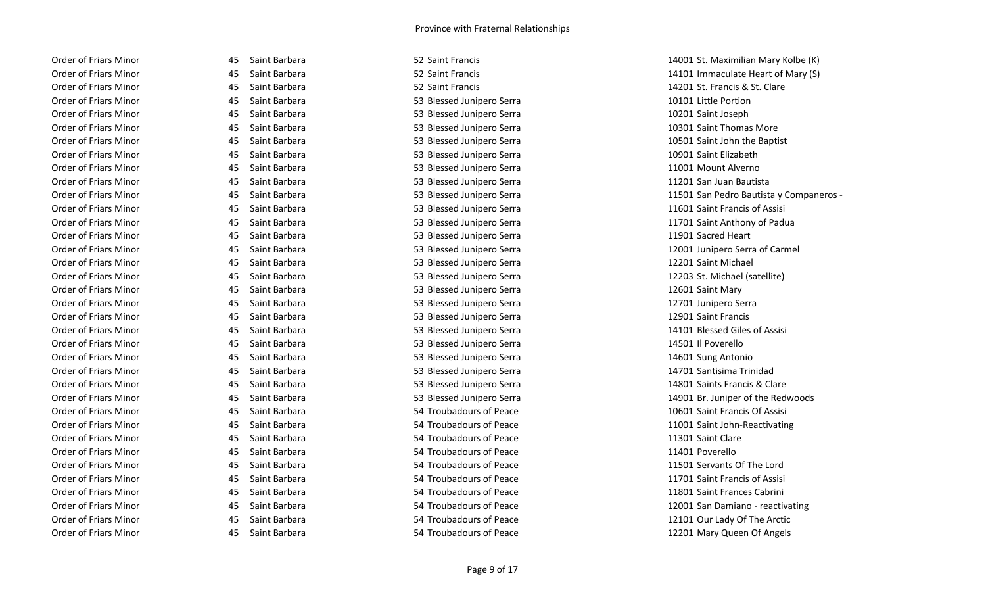| Order of Friars Minor        |
|------------------------------|
| Order of Friars Minor        |
| Order of Friars Minor        |
| Order of Friars Minor        |
| Order of Friars Minor        |
| Order of Friars Minor        |
| <b>Order of Friars Minor</b> |
| <b>Order of Friars Minor</b> |
| <b>Order of Friars Minor</b> |
| Order of Friars Minor        |
| Order of Friars Minor        |
| <b>Order of Friars Minor</b> |
| <b>Order of Friars Minor</b> |
| <b>Order of Friars Minor</b> |
| Order of Friars Minor        |
| Order of Friars Minor        |
| <b>Order of Friars Minor</b> |
| Order of Friars Minor        |
| <b>Order of Friars Minor</b> |
| Order of Friars Minor        |
| Order of Friars Minor        |
| Order of Friars Minor        |
| <b>Order of Friars Minor</b> |
| <b>Order of Friars Minor</b> |
| Order of Friars Minor        |
| Order of Friars Minor        |
| Order of Friars Minor        |
| <b>Order of Friars Minor</b> |
| Order of Friars Minor        |
| Order of Friars Minor        |
| Order of Friars Minor        |
| <b>Order of Friars Minor</b> |
| Order of Friars Minor        |
| <b>Order of Friars Minor</b> |
| Order of Friars Minor        |
| Order of Friars Minor        |

| 15 | Saint Barbara           |
|----|-------------------------|
| 15 | Saint Barbara           |
| 15 | Saint Barbara           |
| 15 | Saint Barbara           |
| 15 | Saint Barbara           |
| 15 | Saint Barbara           |
| 15 | Saint<br>Barbara        |
| 15 | Saint<br>Barbara        |
| 15 | Saint<br>Barbara        |
| 15 | Saint<br>Barbara        |
| 15 | Saint<br>Barbara        |
| 15 | Saint<br>Barbara        |
| 15 | Saint<br>Barbara        |
| 15 | Saint Barbara           |
| 15 | Saint<br>Barbara        |
| 15 | Saint<br>Barbara        |
| 15 | Saint<br>Barbara        |
| 15 | Saint<br>Barbara        |
| 15 | Saint<br>Barbara        |
| 15 | Saint<br>Barbara        |
| 15 | Saint<br>Barbara        |
| 15 | Saint<br>Barbara        |
| 15 | Saint<br><b>Barbara</b> |
| 15 | Saint<br>Barbara        |
| 15 | Saint<br>Barbara        |
| 15 | Saint<br>Barbara        |
| 15 | Saint<br>Barbara        |
| 15 | Saint<br>Barbara        |
| 15 | Saint<br>Barbara        |
| 15 | Saint Barbara           |
| 15 | Saint<br>Barbara        |
| 15 | Saint Barbara           |
| 15 | Saint<br>Barbara        |
| 15 | Saint<br>Barbara        |
| 15 | Saint Barbara           |
| 15 | Saint<br><b>Barbara</b> |

Absolut Barbara 10101 Little Portion 53 Blessed Junipero Serra 10101 Little Portion Order of Friars Minor 45 Saint Barbara 53 Blessed Junipero Serra 10201 Saint Joseph 53 Blessed Junipero Serra 10301 Saint Thomas More Order of Friars Minor 45 Saint Barbara 53 Blessed Junipero Serra 10901 Saint Elizabeth Order of Friars Minor 45 Saint Barbara 53 Blessed Junipero Serra 11001 Mount Alverno Order of Friars Minor 45 Saint Barbara 53 Blessed Junipero Serra 11201 San Juan Bautista Order of Friars Minor 45 Saint Barbara 53 Blessed Junipero Serra 11901 Sacred Heart 53 Blessed Junipero Serra 12201 Saint Michael 53 Blessed Junipero Serra 12601 Saint Mary Order of Friars Minor 45 Saint Barbara 53 Blessed Junipero Serra 12701 Junipero Serra Order of Friars Minor 45 Saint Barbara 53 Blessed Junipero Serra 12901 Saint Francis Order of Friars Minor 45 Saint Barbara 53 Blessed Junipero Serra 14501 Il Poverello Absolut Barbara 14601 Saint Barbara 53 Blessed Junipero Serra 14601 Sung Antonio Absorphin Latin Minor 53 Blessed Junipero Serra 14701 Santisima Trinidad 14701 Santisima Trinidad Absolut Barbara 11301 Saint Barbara 54 Troubadours of Peace 11301 Saint Clare Order of Friars Minor 45 Saint Barbara 54 Troubadours of Peace 11401 Poverello

Absolut Barbara Christian Mary Kolbe (K) 52 Saint Francis 14001 St. Maximilian Mary Kolbe (K) Absolut Barbara Corder of Mary (S) Saint Francis 14101 Immaculate Heart of Mary (S) Order of Friars Minor 45 Saint Barbara 52 Saint Francis 14201 St. Francis & St. Clare Absolut Barbara 10501 Saint Barbara 53 Blessed Junipero Serra 10501 Saint John the Baptist 53 Blessed Junipero Serra **65 Saint Barbara 53 Blessed Junipero Serra 63 Saint Barbara 11501 San Pedro Bautista y Companeros -**53 Blessed Junipero Serra 11601 Saint Francis of Assisi Order of Friars Minor 45 Saint Barbara 53 Blessed Junipero Serra 11701 Saint Anthony of Padua Order of Friars Minor 45 Saint Barbara 53 Blessed Junipero Serra 12001 Junipero Serra of Carmel Order of Friars Minor 45 Saint Barbara 53 Blessed Junipero Serra 12203 St. Michael (satellite) Absolut Barbara Corder of Assisi Assemblance of Assisi Assemblance Serra 14101 Blessed Giles of Assisi Order of Friars Minor 45 Saint Barbara 53 Blessed Junipero Serra 14801 Saints Francis & Clare Absolut Barbara Corder of the Redwoods 53 Blessed Junipero Serra 14901 Br. Juniper of the Redwoods Absolut Barbara 10601 Saint Francis Of Assisi 10601 Saint Francis Of Assisi Ab Saint Barbara **54 Troubadours of Peace** 11001 Saint John-Reactivating 34 Troubadours of Peace 11001 Saint John-Reactivating Absolut Barbara **54 Troubadours of Peace** 64 Troubadours of Peace 64 Troubadours of Peace 11501 Servants Of The Lord Absolut Barbara Assisition of Troubadours of Peace 11701 Saint Francis of Assisi Order of Friars Minor 45 Saint Barbara 54 Troubadours of Peace 11801 Saint Frances Cabrini According to Transmitted Coronavia S4 Troubadours of Peace 12001 San Damiano - reactivating 12001 San Damiano - reactivating 54 Troubadours of Peace 12101 Our Lady Of The Arctic Order of Friars Minor **12201 Mary Queen Of Angels** 34 Saint Barbara 54 Troubadours of Peace 12201 Mary Queen Of Angels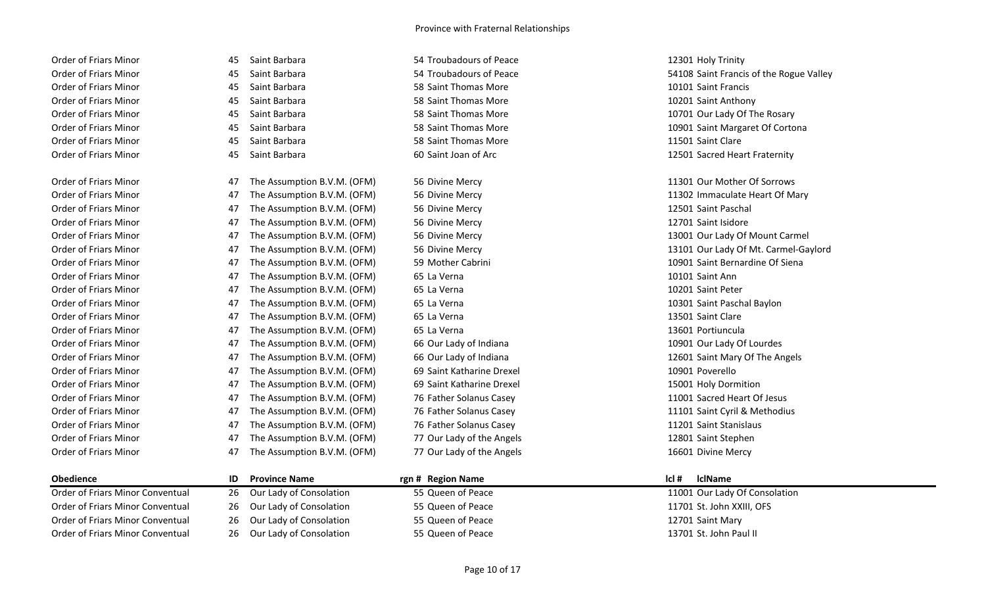| Order of Friars Minor |
|-----------------------|
| Order of Friars Minor |
| Order of Friars Minor |
| Order of Friars Minor |
| Order of Friars Minor |
| Order of Friars Minor |
| Order of Friars Minor |
| Order of Friars Minor |
|                       |
|                       |

| <b>Order of Friars Minor</b> | 45 | Saint Barbara               | 54 Troubadours of Peace   | 12301 Holy Trinity                      |
|------------------------------|----|-----------------------------|---------------------------|-----------------------------------------|
| <b>Order of Friars Minor</b> | 45 | Saint Barbara               | 54 Troubadours of Peace   | 54108 Saint Francis of the Rogue Valley |
| <b>Order of Friars Minor</b> | 45 | Saint Barbara               | 58 Saint Thomas More      | 10101 Saint Francis                     |
| Order of Friars Minor        | 45 | Saint Barbara               | 58 Saint Thomas More      | 10201 Saint Anthony                     |
| Order of Friars Minor        | 45 | Saint Barbara               | 58 Saint Thomas More      | 10701 Our Lady Of The Rosary            |
| Order of Friars Minor        | 45 | Saint Barbara               | 58 Saint Thomas More      | 10901 Saint Margaret Of Cortona         |
| <b>Order of Friars Minor</b> | 45 | Saint Barbara               | 58 Saint Thomas More      | 11501 Saint Clare                       |
| <b>Order of Friars Minor</b> | 45 | Saint Barbara               | 60 Saint Joan of Arc      | 12501 Sacred Heart Fraternity           |
| Order of Friars Minor        | 47 | The Assumption B.V.M. (OFM) | 56 Divine Mercy           | 11301 Our Mother Of Sorrows             |
| Order of Friars Minor        | 47 | The Assumption B.V.M. (OFM) | 56 Divine Mercy           | 11302 Immaculate Heart Of Mary          |
| Order of Friars Minor        | 47 | The Assumption B.V.M. (OFM) | 56 Divine Mercy           | 12501 Saint Paschal                     |
| Order of Friars Minor        | 47 | The Assumption B.V.M. (OFM) | 56 Divine Mercy           | 12701 Saint Isidore                     |
| <b>Order of Friars Minor</b> | 47 | The Assumption B.V.M. (OFM) | 56 Divine Mercy           | 13001 Our Lady Of Mount Carmel          |
| Order of Friars Minor        | 47 | The Assumption B.V.M. (OFM) | 56 Divine Mercy           | 13101 Our Lady Of Mt. Carmel-Gaylord    |
| Order of Friars Minor        | 47 | The Assumption B.V.M. (OFM) | 59 Mother Cabrini         | 10901 Saint Bernardine Of Siena         |
| Order of Friars Minor        | 47 | The Assumption B.V.M. (OFM) | 65 La Verna               | 10101 Saint Ann                         |
| Order of Friars Minor        | 47 | The Assumption B.V.M. (OFM) | 65 La Verna               | 10201 Saint Peter                       |
| Order of Friars Minor        | 47 | The Assumption B.V.M. (OFM) | 65 La Verna               | 10301 Saint Paschal Baylon              |
| Order of Friars Minor        | 47 | The Assumption B.V.M. (OFM) | 65 La Verna               | 13501 Saint Clare                       |
| Order of Friars Minor        | 47 | The Assumption B.V.M. (OFM) | 65 La Verna               | 13601 Portiuncula                       |
| Order of Friars Minor        | 47 | The Assumption B.V.M. (OFM) | 66 Our Lady of Indiana    | 10901 Our Lady Of Lourdes               |
| Order of Friars Minor        | 47 | The Assumption B.V.M. (OFM) | 66 Our Lady of Indiana    | 12601 Saint Mary Of The Angels          |
| Order of Friars Minor        | 47 | The Assumption B.V.M. (OFM) | 69 Saint Katharine Drexel | 10901 Poverello                         |
| <b>Order of Friars Minor</b> | 47 | The Assumption B.V.M. (OFM) | 69 Saint Katharine Drexel | 15001 Holy Dormition                    |
| Order of Friars Minor        | 47 | The Assumption B.V.M. (OFM) | 76 Father Solanus Casey   | 11001 Sacred Heart Of Jesus             |
| Order of Friars Minor        | 47 | The Assumption B.V.M. (OFM) | 76 Father Solanus Casey   | 11101 Saint Cyril & Methodius           |
| Order of Friars Minor        | 47 | The Assumption B.V.M. (OFM) | 76 Father Solanus Casey   | 11201 Saint Stanislaus                  |
| Order of Friars Minor        | 47 | The Assumption B.V.M. (OFM) | 77 Our Lady of the Angels | 12801 Saint Stephen                     |
| Order of Friars Minor        | 47 | The Assumption B.V.M. (OFM) | 77 Our Lady of the Angels | 16601 Divine Mercy                      |

| Obedience                        | ID | <b>Province Name</b>       | rgn # Region Name | lcl t | <b>IclName</b>                |
|----------------------------------|----|----------------------------|-------------------|-------|-------------------------------|
| Order of Friars Minor Conventual |    | 26 Our Lady of Consolation | 55 Queen of Peace |       | 11001 Our Lady Of Consolation |
| Order of Friars Minor Conventual |    | 26 Our Lady of Consolation | 55 Queen of Peace |       | 11701 St. John XXIII, OFS     |
| Order of Friars Minor Conventual |    | 26 Our Lady of Consolation | 55 Queen of Peace |       | 12701 Saint Mary              |
| Order of Friars Minor Conventual |    | 26 Our Lady of Consolation | 55 Queen of Peace |       | 13701 St. John Paul II        |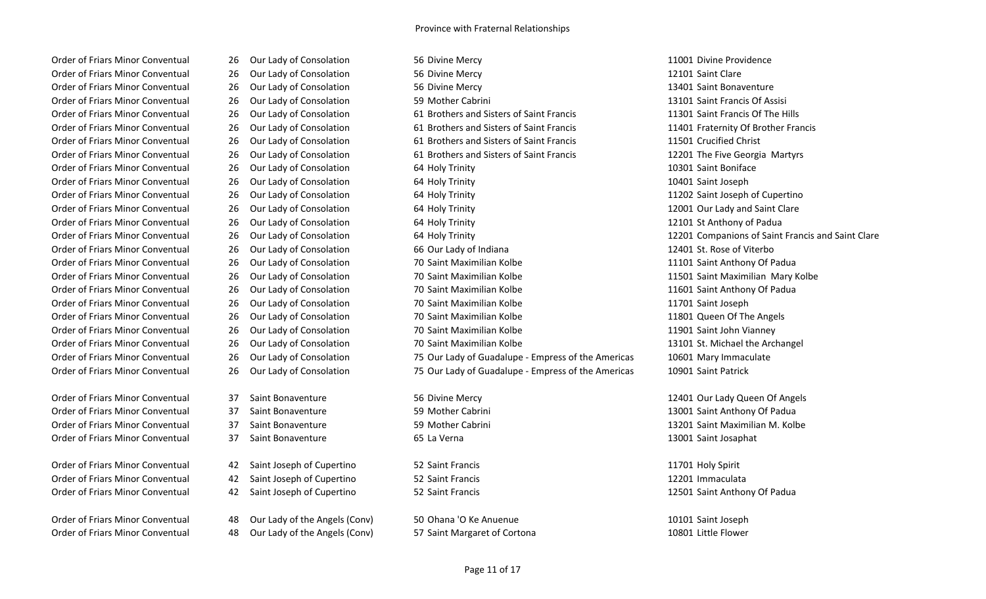Order of Friars Minor Conventual 37 Saint Bonaventure 59 Mother Cabrini 13001 Saint Anthony Of Padua Order of Friars Minor Conventual and 37 Saint Bonaventure 59 Mother Cabrini 13201 Saint Maximilian M. Kolbe Order of Friars Minor Conventual and 37 Saint Bonaventure 65 La Verna 1300 Saint Josaphat 13001 Saint Josaphat

Order of Friars Minor Conventual **42 Saint Joseph of Cupertino** 52 Saint Francis 11701 Holy Spirit 11701 Holy Spirit Order of Friars Minor Conventual **42 Saint Joseph of Cupertino** 52 Saint Francis 12201 Immaculata 12201 Immaculata Order of Friars Minor Conventual and A2 Saint Joseph of Cupertino 52 Saint Francis 12501 Saint Anthony Of Padua

Order of Friars Minor Conventual 48 Our Lady of the Angels (Conv) 57 Saint Margaret of Cortona 10801 Little Flower

- 
- 
- 
- 
- 
- 
- 
- 
- 
- 
- 
- 
- 
- 
- 
- 
- 
- 
- 
- 
- 
- 
- 
- 
- 
- 
- 
- 
- 
- Order of Friars Minor Conventual 48 Our Lady of the Angels (Conv) 50 Ohana 'O Ke Anuenue 10101 Saint Joseph
	-

Order of Friars Minor Conventual 26 Our Lady of Consolation 56 Divine Mercy 11001 Divine Providence Order of Friars Minor Conventual 26 Our Lady of Consolation 56 Divine Mercy 12101 Saint Clare Order of Friars Minor Conventual 26 Our Lady of Consolation 56 Divine Mercy 13401 Saint Bonaventure Order of Friars Minor Conventual 26 Our Lady of Consolation 59 Mother Cabrini 13101 Saint Francis Of Assisi Order of Friars Minor Conventual 26 Our Lady of Consolation 61 Brothers and Sisters of Saint Francis 11301 Saint Francis Of The Hills Order of Friars Minor Conventual 26 Our Lady of Consolation 61 Brothers and Sisters of Saint Francis 11401 Fraternity Of Brother Francis Order of Friars Minor Conventual 26 Our Lady of Consolation 61 Brothers and Sisters of Saint Francis 11501 Crucified Christ Order of Friars Minor Conventual 26 Our Lady of Consolation 61 Brothers and Sisters of Saint Francis 12201 The Five Georgia Martyrs Order of Friars Minor Conventual 26 Our Lady of Consolation 64 Holy Trinity 10301 Saint Boniface Order of Friars Minor Conventual 26 Our Lady of Consolation 64 Holy Trinity 10401 Saint Joseph Order of Friars Minor Conventual 26 Our Lady of Consolation 64 Holy Trinity 11202 Saint Joseph of Cupertino Order of Friars Minor Conventual 26 Our Lady of Consolation 64 Holy Trinity 12001 Our Lady and Saint Clare Order of Friars Minor Conventual 26 Our Lady of Consolation 64 Holy Trinity 12101 St Anthony of Padua Order of Friars Minor Conventual 26 Our Lady of Consolation 64 Holy Trinity 12201 Companions of Saint Francis and Saint Clare Order of Friars Minor Conventual 26 Our Lady of Consolation 66 Our Lady of Indiana 12401 St. Rose of Viterbo Order of Friars Minor Conventual 26 Our Lady of Consolation 70 Saint Maximilian Kolbe 11101 Saint Anthony Of Padua Order of Friars Minor Conventual 26 Our Lady of Consolation 70 Saint Maximilian Kolbe 11501 Saint Maximilian Mary Kolbe Order of Friars Minor Conventual 26 Our Lady of Consolation 70 Saint Maximilian Kolbe 11601 Saint Anthony Of Padua Order of Friars Minor Conventual 26 Our Lady of Consolation 20 Saint Maximilian Kolbe 11701 Saint Joseph Order of Friars Minor Conventual 26 Our Lady of Consolation 70 Saint Maximilian Kolbe 11801 Queen Of The Angels Order of Friars Minor Conventual 26 Our Lady of Consolation 70 Saint Maximilian Kolbe 11901 Saint John Vianney Order of Friars Minor Conventual 26 Our Lady of Consolation 70 Saint Maximilian Kolbe 13101 St. Michael the Archangel Order of Friars Minor Conventual 26 Our Lady of Consolation 75 Our Lady of Guadalupe - Empress of the Americas 10601 Mary Immaculate Order of Friars Minor Conventual 26 Our Lady of Consolation 75 Our Lady of Guadalupe - Empress of the Americas 10901 Saint Patrick

Order of Friars Minor Conventual 37 Saint Bonaventure 56 Divine Mercy 12401 Our Lady Queen Of Angels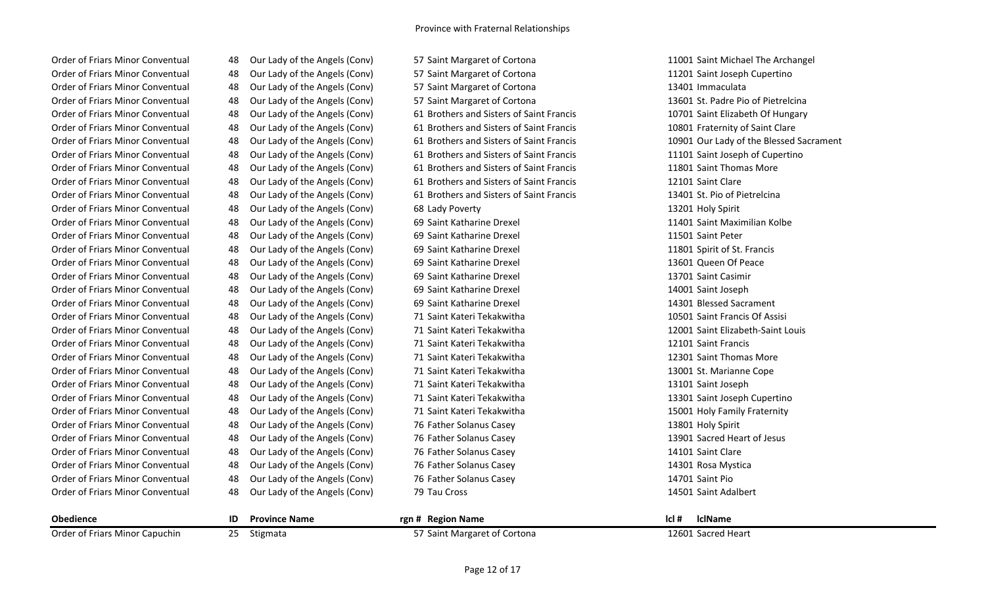| <b>Ohodionco</b>                 |    | <b>Drovince Name</b>          | ran # Dagian Nama                        |                                    |
|----------------------------------|----|-------------------------------|------------------------------------------|------------------------------------|
| Order of Friars Minor Conventual | 48 | Our Lady of the Angels (Conv) | 79 Tau Cross                             | 14501 Saint Adalbert               |
| Order of Friars Minor Conventual | 48 | Our Lady of the Angels (Conv) | 76 Father Solanus Casey                  | 14701 Saint Pio                    |
| Order of Friars Minor Conventual | 48 | Our Lady of the Angels (Conv) | 76 Father Solanus Casey                  | 14301 Rosa Mystica                 |
| Order of Friars Minor Conventual | 48 | Our Lady of the Angels (Conv) | 76 Father Solanus Casey                  | 14101 Saint Clare                  |
| Order of Friars Minor Conventual | 48 | Our Lady of the Angels (Conv) | 76 Father Solanus Casey                  | 13901 Sacred Heart of Jesus        |
| Order of Friars Minor Conventual | 48 | Our Lady of the Angels (Conv) | 76 Father Solanus Casey                  | 13801 Holy Spirit                  |
| Order of Friars Minor Conventual | 48 | Our Lady of the Angels (Conv) | 71 Saint Kateri Tekakwitha               | 15001 Holy Family Fraternity       |
| Order of Friars Minor Conventual | 48 | Our Lady of the Angels (Conv) | 71 Saint Kateri Tekakwitha               | 13301 Saint Joseph Cupertino       |
| Order of Friars Minor Conventual | 48 | Our Lady of the Angels (Conv) | 71 Saint Kateri Tekakwitha               | 13101 Saint Joseph                 |
| Order of Friars Minor Conventual | 48 | Our Lady of the Angels (Conv) | 71 Saint Kateri Tekakwitha               | 13001 St. Marianne Cope            |
| Order of Friars Minor Conventual | 48 | Our Lady of the Angels (Conv) | 71 Saint Kateri Tekakwitha               | 12301 Saint Thomas More            |
| Order of Friars Minor Conventual | 48 | Our Lady of the Angels (Conv) | 71 Saint Kateri Tekakwitha               | 12101 Saint Francis                |
| Order of Friars Minor Conventual | 48 | Our Lady of the Angels (Conv) | 71 Saint Kateri Tekakwitha               | 12001 Saint Elizabeth-Saint Louis  |
| Order of Friars Minor Conventual | 48 | Our Lady of the Angels (Conv) | 71 Saint Kateri Tekakwitha               | 10501 Saint Francis Of Assisi      |
| Order of Friars Minor Conventual | 48 | Our Lady of the Angels (Conv) | 69 Saint Katharine Drexel                | 14301 Blessed Sacrament            |
| Order of Friars Minor Conventual | 48 | Our Lady of the Angels (Conv) | 69 Saint Katharine Drexel                | 14001 Saint Joseph                 |
| Order of Friars Minor Conventual | 48 | Our Lady of the Angels (Conv) | 69 Saint Katharine Drexel                | 13701 Saint Casimir                |
| Order of Friars Minor Conventual | 48 | Our Lady of the Angels (Conv) | 69 Saint Katharine Drexel                | 13601 Queen Of Peace               |
| Order of Friars Minor Conventual | 48 | Our Lady of the Angels (Conv) | 69 Saint Katharine Drexel                | 11801 Spirit of St. Francis        |
| Order of Friars Minor Conventual | 48 | Our Lady of the Angels (Conv) | 69 Saint Katharine Drexel                | 11501 Saint Peter                  |
| Order of Friars Minor Conventual | 48 | Our Lady of the Angels (Conv) | 69 Saint Katharine Drexel                | 11401 Saint Maximilian Kolbe       |
| Order of Friars Minor Conventual | 48 | Our Lady of the Angels (Conv) | 68 Lady Poverty                          | 13201 Holy Spirit                  |
| Order of Friars Minor Conventual | 48 | Our Lady of the Angels (Conv) | 61 Brothers and Sisters of Saint Francis | 13401 St. Pio of Pietrelcina       |
| Order of Friars Minor Conventual | 48 | Our Lady of the Angels (Conv) | 61 Brothers and Sisters of Saint Francis | 12101 Saint Clare                  |
| Order of Friars Minor Conventual | 48 | Our Lady of the Angels (Conv) | 61 Brothers and Sisters of Saint Francis | 11801 Saint Thomas More            |
| Order of Friars Minor Conventual | 48 | Our Lady of the Angels (Conv) | 61 Brothers and Sisters of Saint Francis | 11101 Saint Joseph of Cupertino    |
| Order of Friars Minor Conventual | 48 | Our Lady of the Angels (Conv) | 61 Brothers and Sisters of Saint Francis | 10901 Our Lady of the Blessed Sacr |
| Order of Friars Minor Conventual | 48 | Our Lady of the Angels (Conv) | 61 Brothers and Sisters of Saint Francis | 10801 Fraternity of Saint Clare    |
| Order of Friars Minor Conventual | 48 | Our Lady of the Angels (Conv) | 61 Brothers and Sisters of Saint Francis | 10701 Saint Elizabeth Of Hungary   |
| Order of Friars Minor Conventual | 48 | Our Lady of the Angels (Conv) | 57 Saint Margaret of Cortona             | 13601 St. Padre Pio of Pietrelcina |
| Order of Friars Minor Conventual | 48 | Our Lady of the Angels (Conv) | 57 Saint Margaret of Cortona             | 13401 Immaculata                   |
| Order of Friars Minor Conventual | 48 | Our Lady of the Angels (Conv) | 57 Saint Margaret of Cortona             | 11201 Saint Joseph Cupertino       |
| Order of Friars Minor Conventual | 48 | Our Lady of the Angels (Conv) | 57 Saint Margaret of Cortona             | 11001 Saint Michael The Archangel  |
|                                  |    |                               |                                          |                                    |

| <b>Obedience</b>               | <b>Province Name</b> | rgn # Region Name            | Icl# | <b>IclName</b>     |
|--------------------------------|----------------------|------------------------------|------|--------------------|
| Order of Friars Minor Capuchin | Stigmata             | 57 Saint Margaret of Cortona |      | 12601 Sacred Heart |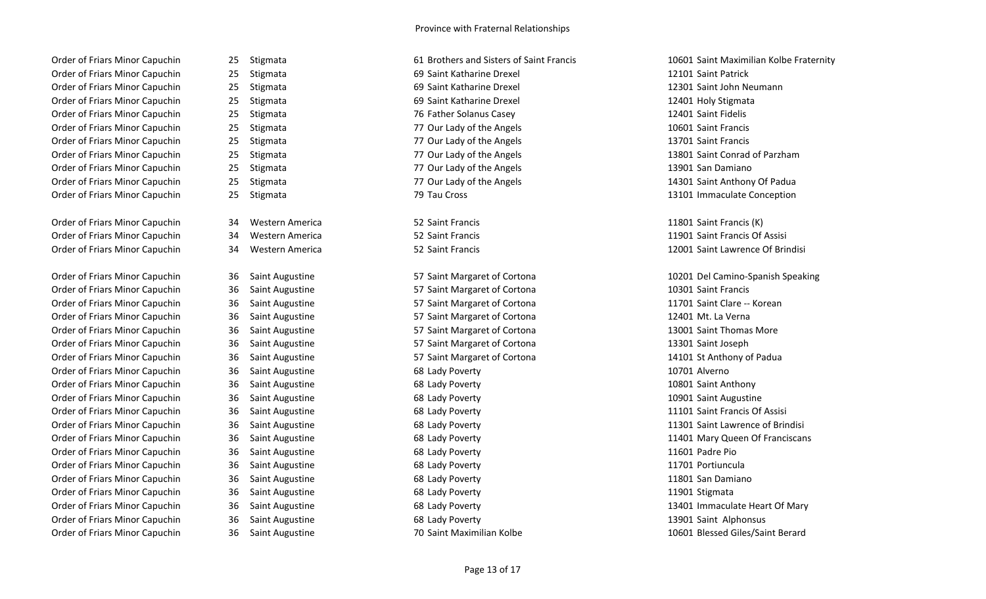Order of Friars Minor Capuchin 25 Stigmata 10601 Saint Maximilian Kolbe Fraternity Order of Friars Minor Capuchin 25 Stigmata 2008 12101 Saint Ratharine Drexel 22101 Saint Patrick Order of Friars Minor Capuchin 25 Stigmata 2008 12301 Saint Katharine Drexel 2301 Saint John Neumann Order of Friars Minor Capuchin 25 Stigmata 2001 12401 Holy Stigmata 69 Saint Katharine Drexel 2001 12401 Holy Stigmata Order of Friars Minor Capuchin 25 Stigmata 76 Father Solanus Casey 12401 Saint Fidelis Order of Friars Minor Capuchin 25 Stigmata 2002 120 and 27 Our Lady of the Angels 10601 Saint Francis Order of Friars Minor Capuchin 25 Stigmata 2008 1270 Urlady of the Angels 13701 Saint Francis Order of Friars Minor Capuchin 25 Stigmata 77 Our Lady of the Angels 13801 Saint Conrad of Parzham Order of Friars Minor Capuchin 25 Stigmata 2008 13901 San Damiano Order of Friars Minor Capuchin 25 Stigmata 77 Our Lady of the Angels 14301 Saint Anthony Of Padua Order of Friars Minor Capuchin 25 Stigmata 2008 13101 Immaculate Conception 2014

Order of Friars Minor Capuchin 34 Western America 52 Saint Francis 11801 Saint Francis (K) Order of Friars Minor Capuchin 34 Western America 52 Saint Francis 11901 Saint Francis Of Assisi

Order of Friars Minor Capuchin 36 Saint Augustine 57 Saint Margaret of Cortona 10301 Saint Francis Order of Friars Minor Capuchin 36 Saint Augustine 57 Saint Margaret of Cortona 11701 Saint Clare -- Korean Order of Friars Minor Capuchin 36 Saint Augustine 57 Saint Margaret of Cortona 12401 Mt. La Verna Order of Friars Minor Capuchin 36 Saint Augustine 57 Saint Margaret of Cortona 13001 Saint Thomas More Order of Friars Minor Capuchin 36 Saint Augustine 57 Saint Margaret of Cortona 13301 Saint Joseph Order of Friars Minor Capuchin 36 Saint Augustine 57 Saint Margaret of Cortona 14101 St Anthony of Padua Order of Friars Minor Capuchin and 36 Saint Augustine 10701 Alverno 68 Lady Poverty 10701 Alverno 10701 Alverno Order of Friars Minor Capuchin 36 Saint Augustine 68 Lady Poverty 10801 Saint Anthony Order of Friars Minor Capuchin 36 Saint Augustine 68 Lady Poverty 10901 Saint Augustine 10901 Saint Augustine Order of Friars Minor Capuchin 36 Saint Augustine 68 Lady Poverty 11101 Saint Francis Of Assisi Order of Friars Minor Capuchin 36 Saint Augustine 1990 1208 Lady Poverty 1990 11601 Padre Pio Order of Friars Minor Capuchin 36 Saint Augustine 68 Lady Poverty 11701 Portiuncula Order of Friars Minor Capuchin 36 Saint Augustine 68 Lady Poverty 11801 San Damiano Order of Friars Minor Capuchin and 36 Saint Augustine 1988 Cady Poverty 1998 Cady Poverty 11901 Stigmata Order of Friars Minor Capuchin 36 Saint Augustine 68 Lady Poverty 13901 Saint Alphonsus 13901 Saint Alphonsus

- 
- 

- 
- 
- 
- 
- 
- 
- 
- 
- 
- 
- 
- 
- 
- 
- 
- 
- 
- 

Order of Friars Minor Capuchin 36 Saint Augustine 10601 Blessed Giles/Saint Berard

Order of Friars Minor Capuchin 34 Western America 52 Saint Francis 12001 Saint Lawrence Of Brindisi

Order of Friars Minor Capuchin 36 Saint Augustine 57 Saint Margaret of Cortona 10201 Del Camino-Spanish Speaking Order of Friars Minor Capuchin 36 Saint Augustine 68 Lady Poverty 11301 Saint Lawrence of Brindisi Order of Friars Minor Capuchin 36 Saint Augustine 68 Lady Poverty 11401 Mary Queen Of Franciscans Order of Friars Minor Capuchin 36 Saint Augustine 68 Lady Poverty 13401 Immaculate Heart Of Mary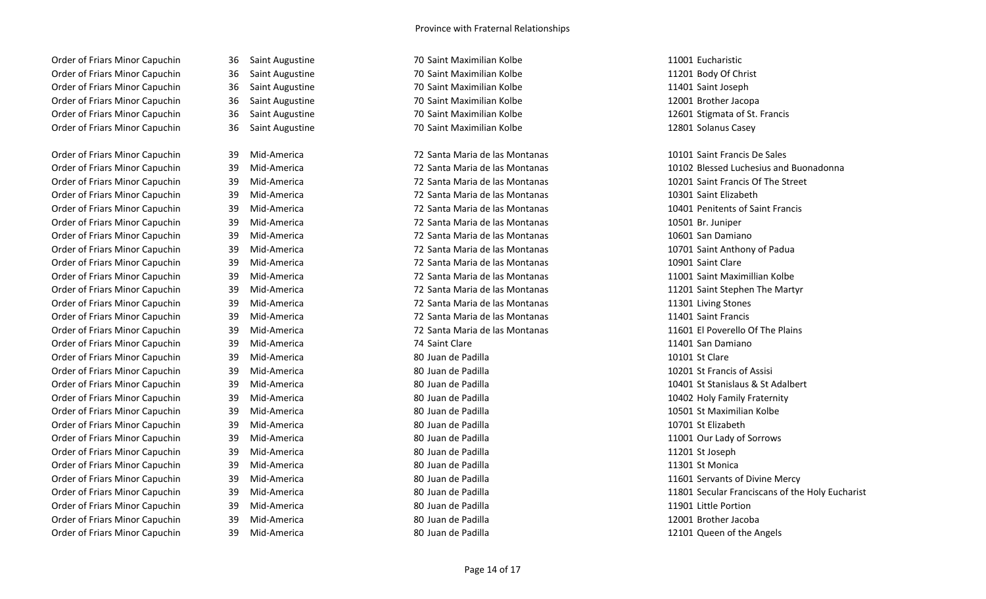Order of Friars Minor Capuchin 36 Saint Augustine 70 Saint Maximilian Kolbe 11001 Eucharistic Order of Friars Minor Capuchin 36 Saint Augustine 11201 Body Of Christ Order of Friars Minor Capuchin 36 Saint Augustine 11401 Saint Maximilian Kolbe 11401 Saint Joseph Order of Friars Minor Capuchin and 36 Saint Augustine 12001 Brother 13000 Brother Jacopa Order of Friars Minor Capuchin 36 Saint Augustine 12601 Stigmata of St. Francis Order of Friars Minor Capuchin 36 Saint Augustine 70 Saint Maximilian Kolbe 12801 Solanus Casey

Order of Friars Minor Capuchin 39 Mid-America 72 Santa Maria de las Montanas 10301 Saint Elizabeth Order of Friars Minor Capuchin 39 Mid-America 72 Santa Maria de las Montanas 10401 Penitents of Saint Francis Order of Friars Minor Capuchin 39 Mid-America 72 Santa Maria de las Montanas 10501 Br. Juniper Order of Friars Minor Capuchin 39 Mid-America 72 Santa Maria de las Montanas 10601 San Damiano Order of Friars Minor Capuchin 39 Mid-America 72 Santa Maria de las Montanas 10701 Saint Anthony of Padua Order of Friars Minor Capuchin 39 Mid-America 72 Santa Maria de las Montanas 10901 Saint Clare Order of Friars Minor Capuchin 39 Mid-America 72 Santa Maria de las Montanas 11001 Saint Maximillian Kolbe Order of Friars Minor Capuchin 39 Mid-America 1908 12 Santa Maria de las Montanas 11301 Living Stones Order of Friars Minor Capuchin 39 Mid-America 72 Santa Maria de las Montanas 11401 Saint Francis Order of Friars Minor Capuchin 39 Mid-America 2008 124 Saint Clare 2008 12401 San Damiano Order of Friars Minor Capuchin 39 Mid-America 10101 St Clare 80 Juan de Padilla 10101 St Clare 10101 St Clare Order of Friars Minor Capuchin 39 Mid-America 20 30 Juan de Padilla 10201 St Francis of Assisi Order of Friars Minor Capuchin 39 Mid-America 200 Juan de Padilla 200 Juan de Padilla 10402 Holy Family Fraternity Order of Friars Minor Capuchin 39 Mid-America 10501 St Maximilian Kolbe 80 Juan de Padilla 10501 St Maximilian Kolbe Order of Friars Minor Capuchin 39 Mid-America 80 Juan de Padilla 10701 St Elizabeth Order of Friars Minor Capuchin 39 Mid-America 2011 80 Juan de Padilla 11001 Our Lady of Sorrows Order of Friars Minor Capuchin 39 Mid-America 80 Juan de Padilla 11201 St Joseph Order of Friars Minor Capuchin 39 Mid-America 200 Juan de Padilla 11301 St Monica 201301 St Monica Order of Friars Minor Capuchin 39 Mid-America 20 Juan de Padilla 11601 Servants of Divine Mercy Order of Friars Minor Capuchin 39 Mid-America 20 Juan de Padilla 11901 Little Portion 11901 Little Portion Order of Friars Minor Capuchin and 39 Mid-America 12001 Brother Jacoba 30 Juan de Padilla 12001 Brother Jacoba Order of Friars Minor Capuchin 39 Mid-America 20 Juan de Padilla 12101 Queen of the Angels

| 36 | Saint Augustine        |
|----|------------------------|
| 36 | <b>Saint Augustine</b> |
| 36 | Saint Augustine        |
| 36 | Saint Augustine        |
| 36 | Saint Augustine        |
| 36 | Saint Augustine        |
|    |                        |
| 39 | Mid-America            |
| 39 | Mid-America            |
| 39 | Mid-America            |
| 39 | Mid-America            |
| 39 | Mid-America            |
| 39 | Mid-America            |
| 39 | Mid-America            |
| 39 | Mid-America            |
| 39 | Mid-America            |
| 39 | Mid-America            |
| 39 | Mid-America            |
| 39 | Mid-America            |
| 39 | Mid-America            |
| 39 | Mid-America            |
| 39 | Mid-America            |
| 39 | Mid-America            |
| 39 | Mid-America            |
| 39 | Mid-America            |
| 39 | Mid-America            |
| 39 | Mid-America            |
| 39 | Mid-America            |
| 39 | Mid-America            |
| 39 | Mid-America            |
| 39 | Mid-America            |
| 39 | Mid-America            |
| 39 | Mid-America            |
| 39 | Mid-America            |
| 39 | Mid-America            |
| 30 | Mid-America            |

Order of Friars Minor Capuchin 39 Mid-America 2008 102 Santa Maria de las Montanas 10101 Saint Francis De Sales

Order of Friars Minor Capuchin 39 Mid-America 72 Santa Maria de las Montanas 10102 Blessed Luchesius and Buonadonna Order of Friars Minor Capuchin 39 Mid-America 72 Santa Maria de las Montanas 10201 Saint Francis Of The Street Order of Friars Minor Capuchin 39 Mid-America 72 Santa Maria de las Montanas 11201 Saint Stephen The Martyr Order of Friars Minor Capuchin 39 Mid-America 2001 12 Santa Maria de las Montanas 11601 El Poverello Of The Plains Order of Friars Minor Capuchin 39 Mid-America 10401 St Stanislaus & St Adalbert Order of Friars Minor Capuchin 39 Mid-America 20 Juan de Padilla 11801 Secular Franciscans of the Holy Eucharist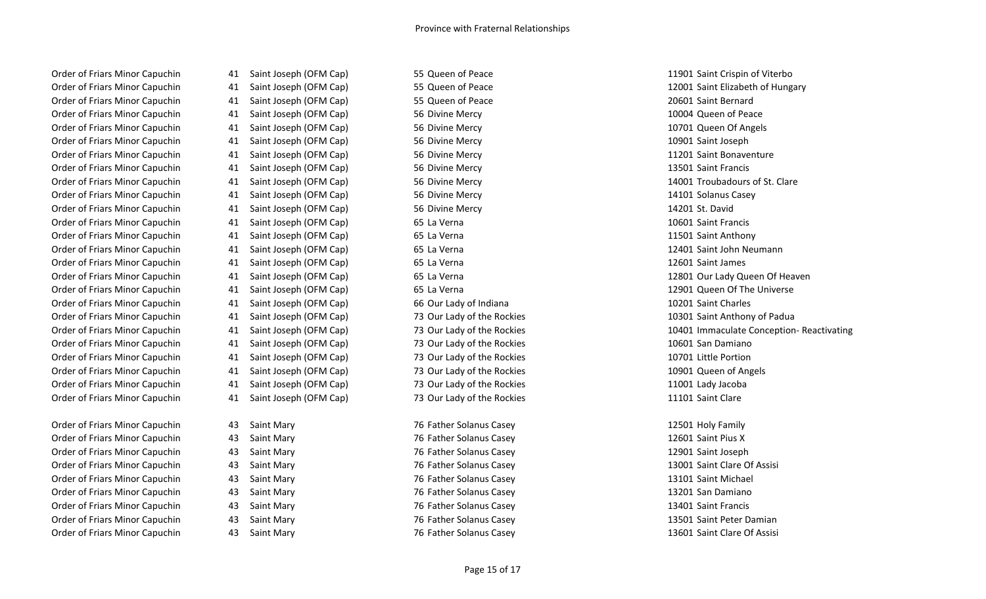Order of Friars Minor Capuchin **41 Saint Joseph (OFM Cap)** 55 Queen of Peace 20601 Saint Bernard Order of Friars Minor Capuchin **41** Saint Joseph (OFM Cap) 56 Divine Mercy 10004 Queen of Peace 10004 Queen of Peace Order of Friars Minor Capuchin **41 Saint Joseph (OFM Cap)** 56 Divine Mercy 10701 Queen Of Angels Order of Friars Minor Capuchin and Allies And Saint Joseph (OFM Cap) 56 Divine Mercy 10901 Saint Joseph 10901 Saint Joseph Order of Friars Minor Capuchin **11201 Saint Joseph (OFM Cap)** 56 Divine Mercy 11201 Saint Bonaventure 11201 Saint Bonaventure Order of Friars Minor Capuchin **41 Saint Joseph (OFM Cap)** 56 Divine Mercy 13501 Saint Francis 13501 Saint Francis Order of Friars Minor Capuchin **1992** 41 Saint Joseph (OFM Cap) 56 Divine Mercy 14001 Troubadours of St. Clare Order of Friars Minor Capuchin **11 Saint Joseph (OFM Cap)** 56 Divine Mercy 156 Divine Mercy 14101 Solanus Casey Order of Friars Minor Capuchin 41 Saint Joseph (OFM Cap) 56 Divine Mercy 14201 St. David Order of Friars Minor Capuchin and Allah Saint Joseph (OFM Cap) 65 La Verna 1960 1977 10601 Saint Francis Order of Friars Minor Capuchin and Allah Anthony (OFM Cap) 65 La Verna 11501 Saint Anthony 11501 Saint Anthony Order of Friars Minor Capuchin **41 Saint Joseph (OFM Cap)** 65 La Verna 12401 Saint John Neumann **12401** Saint John Neumann Order of Friars Minor Capuchin and Allah Saint Joseph (OFM Cap) 65 La Verna 12001 Saint James 12601 Saint James Order of Friars Minor Capuchin **41 Saint Joseph (OFM Cap)** 65 La Verna 12901 Queen Of The Universe Order of Friars Minor Capuchin 41 Saint Joseph (OFM Cap) 66 Our Lady of Indiana 10201 Saint Charles Order of Friars Minor Capuchin 41 Saint Joseph (OFM Cap) 73 Our Lady of the Rockies 10301 Saint Anthony of Padua Order of Friars Minor Capuchin **41** Saint Joseph (OFM Cap) 73 Our Lady of the Rockies 10601 San Damiano Order of Friars Minor Capuchin 41 Saint Joseph (OFM Cap) 73 Our Lady of the Rockies 10701 Little Portion Order of Friars Minor Capuchin 41 Saint Joseph (OFM Cap) 73 Our Lady of the Rockies 10901 Queen of Angels Order of Friars Minor Capuchin 41 Saint Joseph (OFM Cap) 73 Our Lady of the Rockies 11001 Lady Jacoba Order of Friars Minor Capuchin **41** Saint Joseph (OFM Cap) 73 Our Lady of the Rockies 11101 Saint Clare Order of Friars Minor Capuchin and A3 Saint Mary 12501 Holy Family 76 Father Solanus Casey 12501 Holy Family Family Order of Friars Minor Capuchin 43 Saint Mary 76 Father Solanus Casey 12601 Saint Pius X

Order of Friars Minor Capuchin **41** Saint Joseph (OFM Cap) 55 Queen of Peace 11901 Saint Crispin of Viterbo Order of Friars Minor Capuchin 43 Saint Mary 76 Father Solanus Casey 12901 Saint Joseph Order of Friars Minor Capuchin **123 A. A. Saint Mary 13001** Saint Clare Of Assisi Order of Friars Minor Capuchin and A3 Saint Mary 13101 Saint Michael 13101 Saint Michael Order of Friars Minor Capuchin 43 Saint Mary 76 Father Solanus Casey 13201 San Damiano Order of Friars Minor Capuchin 43 Saint Mary 76 Father Solanus Casey 13401 Saint Francis

Order of Friars Minor Capuchin 41 Saint Joseph (OFM Cap) 55 Queen of Peace 12001 Saint Elizabeth of Hungary Order of Friars Minor Capuchin 41 Saint Joseph (OFM Cap) 65 La Verna 12801 Our Lady Queen Of Heaven Order of Friars Minor Capuchin 21 Saint Joseph (OFM Cap) 73 Our Lady of the Rockies 10401 Immaculate Conception- Reactivating

Order of Friars Minor Capuchin and A3 Saint Mary 13501 Saint Peter Damian 76 Father Solanus Casey 13501 Saint Peter Damian Order of Friars Minor Capuchin 23 Saint Mary 13601 Saint Clare Of Assisi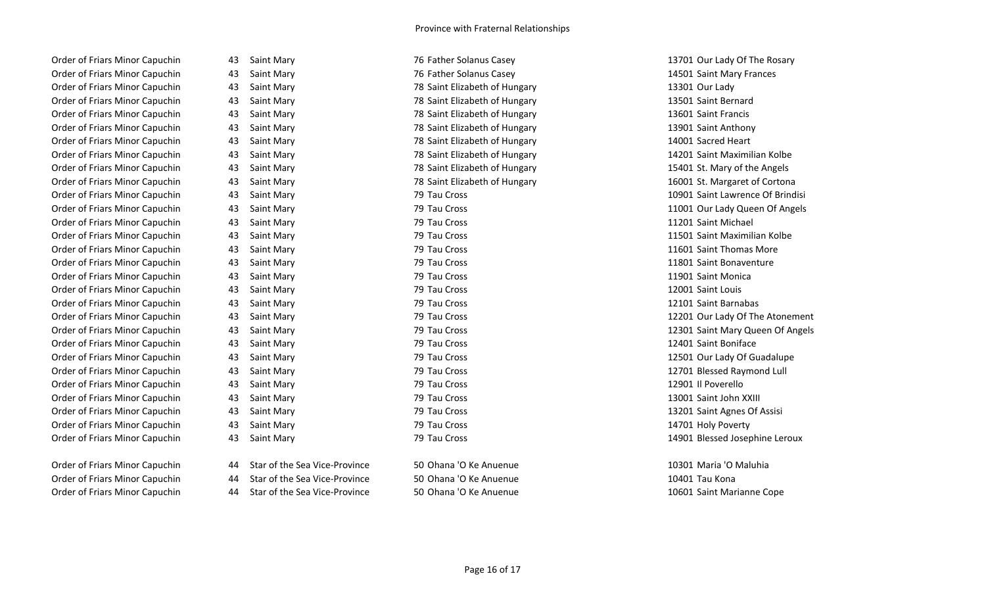Order of Friars Minor Capuchin **13701 Our Lady Of The Rosary 13701 Our Lady Of The Rosary** 13701 Our Lady Of The Rosary Order of Friars Minor Capuchin 43 Saint Mary 76 Father Solanus Casey 14501 Saint Mary Frances Order of Friars Minor Capuchin and A3 Saint Mary 13301 Our Lady 13301 Our Lady 13301 Our Lady Order of Friars Minor Capuchin **43** Saint Mary 13501 Saint Elizabeth of Hungary 13501 Saint Bernard Order of Friars Minor Capuchin **43** Saint Mary 13601 Saint Elizabeth of Hungary 13601 Saint Francis Order of Friars Minor Capuchin **43** Saint Mary 13901 Saint Elizabeth of Hungary 13901 Saint Anthony Order of Friars Minor Capuchin **43 Saint Mary 12 Saint Prime 18 Saint Elizabeth of Hungary** 14001 Sacred Heart Order of Friars Minor Capuchin **43** Saint Mary 14201 Saint Elizabeth of Hungary 14201 Saint Maximilian Kolbe Order of Friars Minor Capuchin **43** Saint Mary 15401 St. Mary of the Angels 15401 St. Mary of the Angels Order of Friars Minor Capuchin **43** Saint Mary 16001 St. Margaret of Cortona Order of Friars Minor Capuchin 43 Saint Mary 79 Tau Cross 11201 Saint Michael Order of Friars Minor Capuchin **43 Saint Mary 120 Access** 11501 Saint Maximilian Kolbe Order of Friars Minor Capuchin 23 Saint Mary 19 Tau Cross 11601 Saint Thomas More Order of Friars Minor Capuchin 23 Saint Mary 79 Tau Cross 2012 11801 Saint Bonaventure Order of Friars Minor Capuchin and A Saint Mary 19 Tau Cross 2012 Tau Cross 2013 11901 Saint Monica Order of Friars Minor Capuchin 43 Saint Mary 79 Tau Cross 12001 Saint Louis Order of Friars Minor Capuchin 43 Saint Mary 79 Tau Cross 12101 Saint Barnabas Order of Friars Minor Capuchin 43 Saint Mary 79 Tau Cross 12401 Saint Boniface Order of Friars Minor Capuchin 23 Saint Mary 12501 Our Lady Of Guadalupe Order of Friars Minor Capuchin 43 Saint Mary 79 Tau Cross 12701 Blessed Raymond Lull Order of Friars Minor Capuchin 43 Saint Mary 79 Tau Cross 12901 Il Poverello Order of Friars Minor Capuchin 43 Saint Mary 79 Tau Cross 13001 Saint John XXIII Order of Friars Minor Capuchin 23 Saint Mary 13201 Saint Agnes Of Assisi Order of Friars Minor Capuchin and A Saint Mary 19 Tau Cross 2012 The Cross 214701 Holy Poverty Order of Friars Minor Capuchin 23 Saint Mary 19 Tau Cross 14901 Blessed Josephine Leroux

| Order of Friars Minor Capuchin | Star of the Sea Vice-Province    | 50 Ohana 'O Ke Anuenue | 10301 Maria 'O Maluhia    |
|--------------------------------|----------------------------------|------------------------|---------------------------|
| Order of Friars Minor Capuchin | 44 Star of the Sea Vice-Province | 50 Ohana 'O Ke Anuenue | 10401 Tau Kona            |
| Order of Friars Minor Capuchin | 44 Star of the Sea Vice-Province | 50 Ohana 'O Ke Anuenue | 10601 Saint Marianne Cope |

Order of Friars Minor Capuchin 23 Saint Mary 10901 Saint Lawrence Of Brindisi Order of Friars Minor Capuchin **43** Saint Mary 13 2011 1201 Our Lady Queen Of Angels Order of Friars Minor Capuchin 43 Saint Mary 79 Tau Cross 12201 Our Lady Of The Atonement Order of Friars Minor Capuchin 23 Saint Mary 12301 Saint Mary 12301 Saint Mary Queen Of Angels